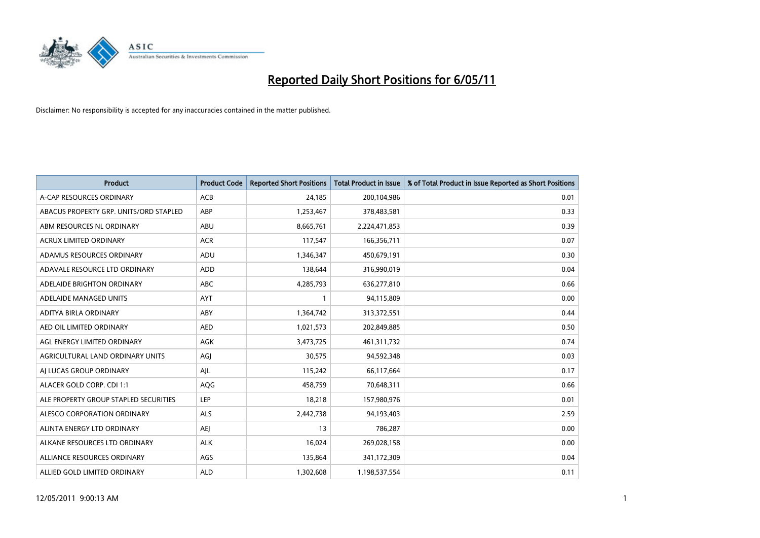

| <b>Product</b>                         | <b>Product Code</b> | <b>Reported Short Positions</b> | <b>Total Product in Issue</b> | % of Total Product in Issue Reported as Short Positions |
|----------------------------------------|---------------------|---------------------------------|-------------------------------|---------------------------------------------------------|
| A-CAP RESOURCES ORDINARY               | ACB                 | 24,185                          | 200,104,986                   | 0.01                                                    |
| ABACUS PROPERTY GRP. UNITS/ORD STAPLED | ABP                 | 1,253,467                       | 378,483,581                   | 0.33                                                    |
| ABM RESOURCES NL ORDINARY              | ABU                 | 8,665,761                       | 2,224,471,853                 | 0.39                                                    |
| ACRUX LIMITED ORDINARY                 | <b>ACR</b>          | 117,547                         | 166,356,711                   | 0.07                                                    |
| ADAMUS RESOURCES ORDINARY              | ADU                 | 1,346,347                       | 450,679,191                   | 0.30                                                    |
| ADAVALE RESOURCE LTD ORDINARY          | ADD                 | 138,644                         | 316,990,019                   | 0.04                                                    |
| ADELAIDE BRIGHTON ORDINARY             | <b>ABC</b>          | 4,285,793                       | 636,277,810                   | 0.66                                                    |
| ADELAIDE MANAGED UNITS                 | <b>AYT</b>          |                                 | 94,115,809                    | 0.00                                                    |
| ADITYA BIRLA ORDINARY                  | ABY                 | 1,364,742                       | 313,372,551                   | 0.44                                                    |
| AED OIL LIMITED ORDINARY               | <b>AED</b>          | 1,021,573                       | 202,849,885                   | 0.50                                                    |
| AGL ENERGY LIMITED ORDINARY            | <b>AGK</b>          | 3,473,725                       | 461, 311, 732                 | 0.74                                                    |
| AGRICULTURAL LAND ORDINARY UNITS       | AGJ                 | 30,575                          | 94,592,348                    | 0.03                                                    |
| AI LUCAS GROUP ORDINARY                | AJL                 | 115,242                         | 66,117,664                    | 0.17                                                    |
| ALACER GOLD CORP. CDI 1:1              | AQG                 | 458.759                         | 70,648,311                    | 0.66                                                    |
| ALE PROPERTY GROUP STAPLED SECURITIES  | <b>LEP</b>          | 18,218                          | 157,980,976                   | 0.01                                                    |
| ALESCO CORPORATION ORDINARY            | <b>ALS</b>          | 2,442,738                       | 94,193,403                    | 2.59                                                    |
| ALINTA ENERGY LTD ORDINARY             | <b>AEI</b>          | 13                              | 786,287                       | 0.00                                                    |
| ALKANE RESOURCES LTD ORDINARY          | <b>ALK</b>          | 16,024                          | 269,028,158                   | 0.00                                                    |
| ALLIANCE RESOURCES ORDINARY            | AGS                 | 135,864                         | 341,172,309                   | 0.04                                                    |
| ALLIED GOLD LIMITED ORDINARY           | <b>ALD</b>          | 1,302,608                       | 1,198,537,554                 | 0.11                                                    |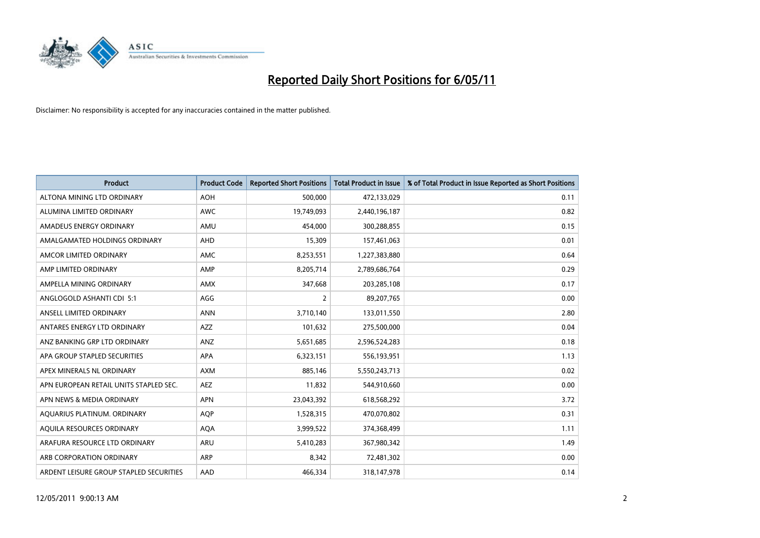

| <b>Product</b>                          | <b>Product Code</b> | <b>Reported Short Positions</b> | <b>Total Product in Issue</b> | % of Total Product in Issue Reported as Short Positions |
|-----------------------------------------|---------------------|---------------------------------|-------------------------------|---------------------------------------------------------|
| ALTONA MINING LTD ORDINARY              | <b>AOH</b>          | 500,000                         | 472,133,029                   | 0.11                                                    |
| ALUMINA LIMITED ORDINARY                | <b>AWC</b>          | 19,749,093                      | 2,440,196,187                 | 0.82                                                    |
| AMADEUS ENERGY ORDINARY                 | AMU                 | 454.000                         | 300,288,855                   | 0.15                                                    |
| AMALGAMATED HOLDINGS ORDINARY           | AHD                 | 15,309                          | 157,461,063                   | 0.01                                                    |
| AMCOR LIMITED ORDINARY                  | <b>AMC</b>          | 8,253,551                       | 1,227,383,880                 | 0.64                                                    |
| AMP LIMITED ORDINARY                    | AMP                 | 8,205,714                       | 2,789,686,764                 | 0.29                                                    |
| AMPELLA MINING ORDINARY                 | <b>AMX</b>          | 347,668                         | 203,285,108                   | 0.17                                                    |
| ANGLOGOLD ASHANTI CDI 5:1               | AGG                 | $\overline{2}$                  | 89,207,765                    | 0.00                                                    |
| ANSELL LIMITED ORDINARY                 | <b>ANN</b>          | 3,710,140                       | 133,011,550                   | 2.80                                                    |
| ANTARES ENERGY LTD ORDINARY             | <b>AZZ</b>          | 101,632                         | 275,500,000                   | 0.04                                                    |
| ANZ BANKING GRP LTD ORDINARY            | ANZ                 | 5,651,685                       | 2,596,524,283                 | 0.18                                                    |
| APA GROUP STAPLED SECURITIES            | <b>APA</b>          | 6,323,151                       | 556,193,951                   | 1.13                                                    |
| APEX MINERALS NL ORDINARY               | <b>AXM</b>          | 885,146                         | 5,550,243,713                 | 0.02                                                    |
| APN EUROPEAN RETAIL UNITS STAPLED SEC.  | <b>AEZ</b>          | 11,832                          | 544,910,660                   | 0.00                                                    |
| APN NEWS & MEDIA ORDINARY               | <b>APN</b>          | 23,043,392                      | 618,568,292                   | 3.72                                                    |
| AQUARIUS PLATINUM. ORDINARY             | <b>AQP</b>          | 1,528,315                       | 470,070,802                   | 0.31                                                    |
| AQUILA RESOURCES ORDINARY               | <b>AQA</b>          | 3,999,522                       | 374,368,499                   | 1.11                                                    |
| ARAFURA RESOURCE LTD ORDINARY           | <b>ARU</b>          | 5,410,283                       | 367,980,342                   | 1.49                                                    |
| ARB CORPORATION ORDINARY                | <b>ARP</b>          | 8,342                           | 72,481,302                    | 0.00                                                    |
| ARDENT LEISURE GROUP STAPLED SECURITIES | AAD                 | 466.334                         | 318,147,978                   | 0.14                                                    |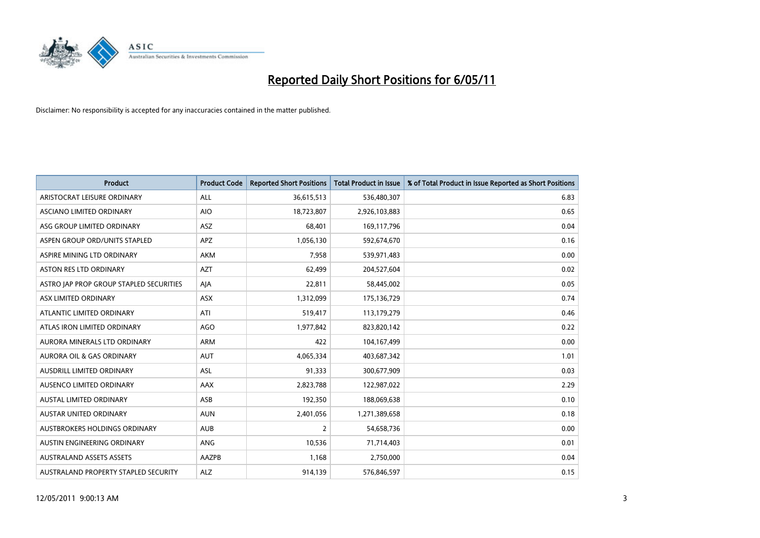

| <b>Product</b>                          | <b>Product Code</b> | <b>Reported Short Positions</b> | Total Product in Issue | % of Total Product in Issue Reported as Short Positions |
|-----------------------------------------|---------------------|---------------------------------|------------------------|---------------------------------------------------------|
| ARISTOCRAT LEISURE ORDINARY             | ALL                 | 36,615,513                      | 536,480,307            | 6.83                                                    |
| ASCIANO LIMITED ORDINARY                | <b>AIO</b>          | 18,723,807                      | 2,926,103,883          | 0.65                                                    |
| ASG GROUP LIMITED ORDINARY              | ASZ                 | 68,401                          | 169,117,796            | 0.04                                                    |
| ASPEN GROUP ORD/UNITS STAPLED           | APZ                 | 1,056,130                       | 592,674,670            | 0.16                                                    |
| ASPIRE MINING LTD ORDINARY              | <b>AKM</b>          | 7,958                           | 539,971,483            | 0.00                                                    |
| ASTON RES LTD ORDINARY                  | <b>AZT</b>          | 62,499                          | 204,527,604            | 0.02                                                    |
| ASTRO JAP PROP GROUP STAPLED SECURITIES | AJA                 | 22,811                          | 58,445,002             | 0.05                                                    |
| ASX LIMITED ORDINARY                    | <b>ASX</b>          | 1,312,099                       | 175,136,729            | 0.74                                                    |
| ATLANTIC LIMITED ORDINARY               | ATI                 | 519,417                         | 113,179,279            | 0.46                                                    |
| ATLAS IRON LIMITED ORDINARY             | <b>AGO</b>          | 1,977,842                       | 823,820,142            | 0.22                                                    |
| AURORA MINERALS LTD ORDINARY            | <b>ARM</b>          | 422                             | 104,167,499            | 0.00                                                    |
| AURORA OIL & GAS ORDINARY               | <b>AUT</b>          | 4,065,334                       | 403,687,342            | 1.01                                                    |
| <b>AUSDRILL LIMITED ORDINARY</b>        | <b>ASL</b>          | 91,333                          | 300,677,909            | 0.03                                                    |
| AUSENCO LIMITED ORDINARY                | AAX                 | 2,823,788                       | 122,987,022            | 2.29                                                    |
| <b>AUSTAL LIMITED ORDINARY</b>          | ASB                 | 192,350                         | 188,069,638            | 0.10                                                    |
| AUSTAR UNITED ORDINARY                  | <b>AUN</b>          | 2,401,056                       | 1,271,389,658          | 0.18                                                    |
| AUSTBROKERS HOLDINGS ORDINARY           | <b>AUB</b>          | 2                               | 54,658,736             | 0.00                                                    |
| AUSTIN ENGINEERING ORDINARY             | ANG                 | 10,536                          | 71,714,403             | 0.01                                                    |
| <b>AUSTRALAND ASSETS ASSETS</b>         | AAZPB               | 1,168                           | 2,750,000              | 0.04                                                    |
| AUSTRALAND PROPERTY STAPLED SECURITY    | <b>ALZ</b>          | 914,139                         | 576,846,597            | 0.15                                                    |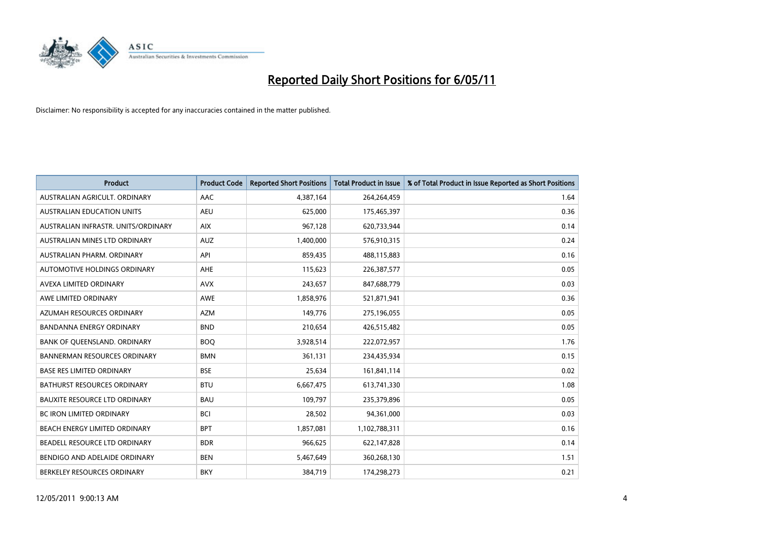

| <b>Product</b>                       | <b>Product Code</b> | <b>Reported Short Positions</b> | Total Product in Issue | % of Total Product in Issue Reported as Short Positions |
|--------------------------------------|---------------------|---------------------------------|------------------------|---------------------------------------------------------|
| AUSTRALIAN AGRICULT, ORDINARY        | AAC                 | 4,387,164                       | 264,264,459            | 1.64                                                    |
| AUSTRALIAN EDUCATION UNITS           | <b>AEU</b>          | 625,000                         | 175,465,397            | 0.36                                                    |
| AUSTRALIAN INFRASTR, UNITS/ORDINARY  | <b>AIX</b>          | 967,128                         | 620,733,944            | 0.14                                                    |
| AUSTRALIAN MINES LTD ORDINARY        | <b>AUZ</b>          | 1,400,000                       | 576,910,315            | 0.24                                                    |
| AUSTRALIAN PHARM, ORDINARY           | API                 | 859,435                         | 488,115,883            | 0.16                                                    |
| AUTOMOTIVE HOLDINGS ORDINARY         | <b>AHE</b>          | 115,623                         | 226,387,577            | 0.05                                                    |
| AVEXA LIMITED ORDINARY               | <b>AVX</b>          | 243,657                         | 847,688,779            | 0.03                                                    |
| AWE LIMITED ORDINARY                 | AWE                 | 1,858,976                       | 521,871,941            | 0.36                                                    |
| AZUMAH RESOURCES ORDINARY            | <b>AZM</b>          | 149,776                         | 275,196,055            | 0.05                                                    |
| <b>BANDANNA ENERGY ORDINARY</b>      | <b>BND</b>          | 210,654                         | 426,515,482            | 0.05                                                    |
| BANK OF QUEENSLAND. ORDINARY         | <b>BOO</b>          | 3,928,514                       | 222,072,957            | 1.76                                                    |
| <b>BANNERMAN RESOURCES ORDINARY</b>  | <b>BMN</b>          | 361,131                         | 234,435,934            | 0.15                                                    |
| <b>BASE RES LIMITED ORDINARY</b>     | <b>BSE</b>          | 25,634                          | 161,841,114            | 0.02                                                    |
| <b>BATHURST RESOURCES ORDINARY</b>   | <b>BTU</b>          | 6,667,475                       | 613,741,330            | 1.08                                                    |
| <b>BAUXITE RESOURCE LTD ORDINARY</b> | <b>BAU</b>          | 109,797                         | 235,379,896            | 0.05                                                    |
| BC IRON LIMITED ORDINARY             | <b>BCI</b>          | 28,502                          | 94,361,000             | 0.03                                                    |
| BEACH ENERGY LIMITED ORDINARY        | <b>BPT</b>          | 1,857,081                       | 1,102,788,311          | 0.16                                                    |
| BEADELL RESOURCE LTD ORDINARY        | <b>BDR</b>          | 966,625                         | 622,147,828            | 0.14                                                    |
| BENDIGO AND ADELAIDE ORDINARY        | <b>BEN</b>          | 5,467,649                       | 360,268,130            | 1.51                                                    |
| BERKELEY RESOURCES ORDINARY          | <b>BKY</b>          | 384,719                         | 174,298,273            | 0.21                                                    |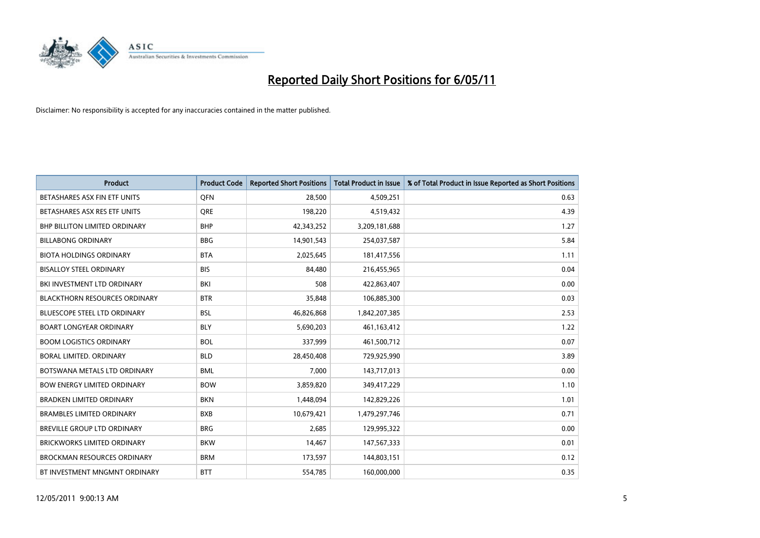

| <b>Product</b>                       | <b>Product Code</b> | <b>Reported Short Positions</b> | <b>Total Product in Issue</b> | % of Total Product in Issue Reported as Short Positions |
|--------------------------------------|---------------------|---------------------------------|-------------------------------|---------------------------------------------------------|
| BETASHARES ASX FIN ETF UNITS         | <b>OFN</b>          | 28,500                          | 4,509,251                     | 0.63                                                    |
| BETASHARES ASX RES ETF UNITS         | <b>ORE</b>          | 198,220                         | 4,519,432                     | 4.39                                                    |
| <b>BHP BILLITON LIMITED ORDINARY</b> | <b>BHP</b>          | 42,343,252                      | 3,209,181,688                 | 1.27                                                    |
| <b>BILLABONG ORDINARY</b>            | <b>BBG</b>          | 14,901,543                      | 254,037,587                   | 5.84                                                    |
| <b>BIOTA HOLDINGS ORDINARY</b>       | <b>BTA</b>          | 2,025,645                       | 181,417,556                   | 1.11                                                    |
| <b>BISALLOY STEEL ORDINARY</b>       | <b>BIS</b>          | 84.480                          | 216,455,965                   | 0.04                                                    |
| BKI INVESTMENT LTD ORDINARY          | <b>BKI</b>          | 508                             | 422,863,407                   | 0.00                                                    |
| <b>BLACKTHORN RESOURCES ORDINARY</b> | <b>BTR</b>          | 35,848                          | 106,885,300                   | 0.03                                                    |
| <b>BLUESCOPE STEEL LTD ORDINARY</b>  | <b>BSL</b>          | 46,826,868                      | 1,842,207,385                 | 2.53                                                    |
| <b>BOART LONGYEAR ORDINARY</b>       | <b>BLY</b>          | 5,690,203                       | 461, 163, 412                 | 1.22                                                    |
| <b>BOOM LOGISTICS ORDINARY</b>       | <b>BOL</b>          | 337,999                         | 461,500,712                   | 0.07                                                    |
| <b>BORAL LIMITED, ORDINARY</b>       | <b>BLD</b>          | 28,450,408                      | 729,925,990                   | 3.89                                                    |
| BOTSWANA METALS LTD ORDINARY         | <b>BML</b>          | 7,000                           | 143,717,013                   | 0.00                                                    |
| <b>BOW ENERGY LIMITED ORDINARY</b>   | <b>BOW</b>          | 3,859,820                       | 349,417,229                   | 1.10                                                    |
| <b>BRADKEN LIMITED ORDINARY</b>      | <b>BKN</b>          | 1,448,094                       | 142,829,226                   | 1.01                                                    |
| <b>BRAMBLES LIMITED ORDINARY</b>     | <b>BXB</b>          | 10,679,421                      | 1,479,297,746                 | 0.71                                                    |
| BREVILLE GROUP LTD ORDINARY          | <b>BRG</b>          | 2,685                           | 129,995,322                   | 0.00                                                    |
| BRICKWORKS LIMITED ORDINARY          | <b>BKW</b>          | 14,467                          | 147,567,333                   | 0.01                                                    |
| <b>BROCKMAN RESOURCES ORDINARY</b>   | <b>BRM</b>          | 173,597                         | 144,803,151                   | 0.12                                                    |
| BT INVESTMENT MNGMNT ORDINARY        | <b>BTT</b>          | 554,785                         | 160,000,000                   | 0.35                                                    |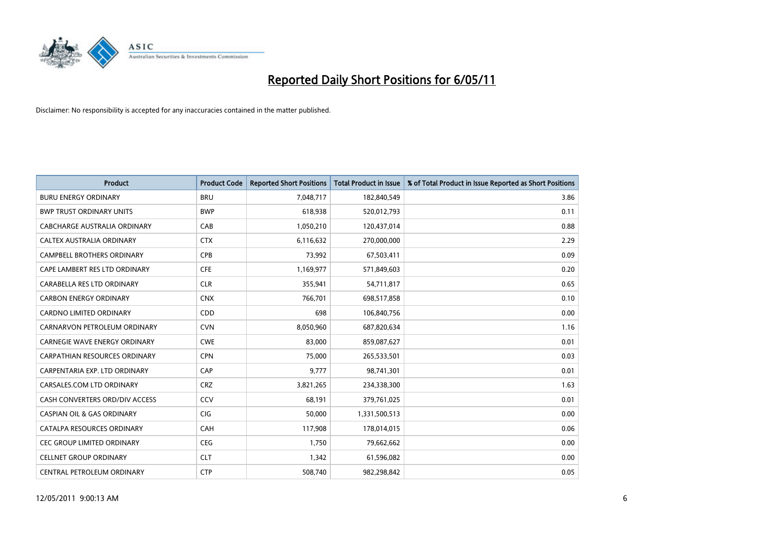

| <b>Product</b>                        | <b>Product Code</b> | <b>Reported Short Positions</b> | <b>Total Product in Issue</b> | % of Total Product in Issue Reported as Short Positions |
|---------------------------------------|---------------------|---------------------------------|-------------------------------|---------------------------------------------------------|
| <b>BURU ENERGY ORDINARY</b>           | <b>BRU</b>          | 7,048,717                       | 182,840,549                   | 3.86                                                    |
| <b>BWP TRUST ORDINARY UNITS</b>       | <b>BWP</b>          | 618,938                         | 520,012,793                   | 0.11                                                    |
| CABCHARGE AUSTRALIA ORDINARY          | CAB                 | 1,050,210                       | 120,437,014                   | 0.88                                                    |
| CALTEX AUSTRALIA ORDINARY             | <b>CTX</b>          | 6,116,632                       | 270,000,000                   | 2.29                                                    |
| <b>CAMPBELL BROTHERS ORDINARY</b>     | CPB                 | 73,992                          | 67,503,411                    | 0.09                                                    |
| CAPE LAMBERT RES LTD ORDINARY         | CFE                 | 1,169,977                       | 571,849,603                   | 0.20                                                    |
| CARABELLA RES LTD ORDINARY            | <b>CLR</b>          | 355,941                         | 54,711,817                    | 0.65                                                    |
| <b>CARBON ENERGY ORDINARY</b>         | <b>CNX</b>          | 766,701                         | 698,517,858                   | 0.10                                                    |
| CARDNO LIMITED ORDINARY               | CDD                 | 698                             | 106,840,756                   | 0.00                                                    |
| CARNARVON PETROLEUM ORDINARY          | <b>CVN</b>          | 8,050,960                       | 687,820,634                   | 1.16                                                    |
| <b>CARNEGIE WAVE ENERGY ORDINARY</b>  | <b>CWE</b>          | 83,000                          | 859,087,627                   | 0.01                                                    |
| CARPATHIAN RESOURCES ORDINARY         | <b>CPN</b>          | 75.000                          | 265,533,501                   | 0.03                                                    |
| CARPENTARIA EXP. LTD ORDINARY         | CAP                 | 9,777                           | 98,741,301                    | 0.01                                                    |
| CARSALES.COM LTD ORDINARY             | <b>CRZ</b>          | 3,821,265                       | 234,338,300                   | 1.63                                                    |
| CASH CONVERTERS ORD/DIV ACCESS        | CCV                 | 68,191                          | 379,761,025                   | 0.01                                                    |
| <b>CASPIAN OIL &amp; GAS ORDINARY</b> | CIG                 | 50,000                          | 1,331,500,513                 | 0.00                                                    |
| CATALPA RESOURCES ORDINARY            | CAH                 | 117,908                         | 178,014,015                   | 0.06                                                    |
| CEC GROUP LIMITED ORDINARY            | <b>CEG</b>          | 1,750                           | 79,662,662                    | 0.00                                                    |
| <b>CELLNET GROUP ORDINARY</b>         | <b>CLT</b>          | 1,342                           | 61,596,082                    | 0.00                                                    |
| CENTRAL PETROLEUM ORDINARY            | <b>CTP</b>          | 508,740                         | 982,298,842                   | 0.05                                                    |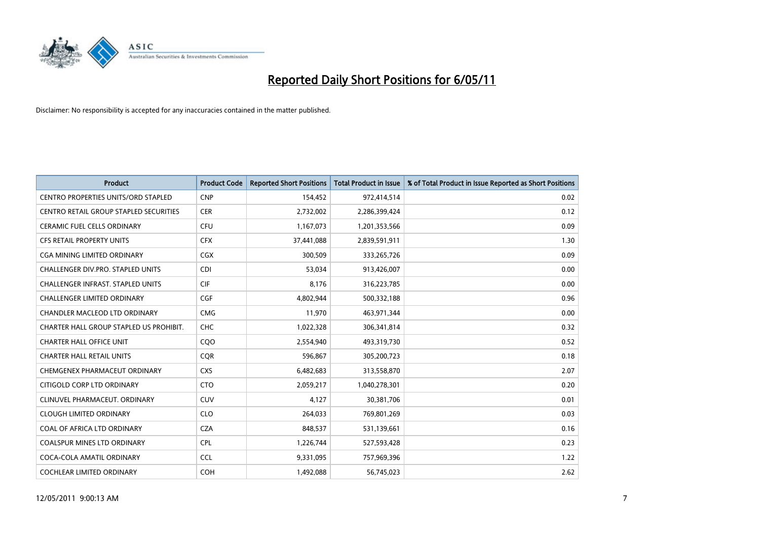

| <b>Product</b>                                | <b>Product Code</b> | <b>Reported Short Positions</b> | Total Product in Issue | % of Total Product in Issue Reported as Short Positions |
|-----------------------------------------------|---------------------|---------------------------------|------------------------|---------------------------------------------------------|
| <b>CENTRO PROPERTIES UNITS/ORD STAPLED</b>    | <b>CNP</b>          | 154,452                         | 972,414,514            | 0.02                                                    |
| <b>CENTRO RETAIL GROUP STAPLED SECURITIES</b> | <b>CER</b>          | 2,732,002                       | 2,286,399,424          | 0.12                                                    |
| <b>CERAMIC FUEL CELLS ORDINARY</b>            | <b>CFU</b>          | 1,167,073                       | 1,201,353,566          | 0.09                                                    |
| CFS RETAIL PROPERTY UNITS                     | <b>CFX</b>          | 37,441,088                      | 2,839,591,911          | 1.30                                                    |
| <b>CGA MINING LIMITED ORDINARY</b>            | <b>CGX</b>          | 300,509                         | 333,265,726            | 0.09                                                    |
| <b>CHALLENGER DIV.PRO. STAPLED UNITS</b>      | <b>CDI</b>          | 53,034                          | 913,426,007            | 0.00                                                    |
| CHALLENGER INFRAST. STAPLED UNITS             | <b>CIF</b>          | 8.176                           | 316,223,785            | 0.00                                                    |
| <b>CHALLENGER LIMITED ORDINARY</b>            | CGF                 | 4,802,944                       | 500,332,188            | 0.96                                                    |
| CHANDLER MACLEOD LTD ORDINARY                 | <b>CMG</b>          | 11,970                          | 463,971,344            | 0.00                                                    |
| CHARTER HALL GROUP STAPLED US PROHIBIT.       | <b>CHC</b>          | 1,022,328                       | 306,341,814            | 0.32                                                    |
| <b>CHARTER HALL OFFICE UNIT</b>               | COO                 | 2,554,940                       | 493,319,730            | 0.52                                                    |
| <b>CHARTER HALL RETAIL UNITS</b>              | <b>CQR</b>          | 596,867                         | 305,200,723            | 0.18                                                    |
| CHEMGENEX PHARMACEUT ORDINARY                 | <b>CXS</b>          | 6,482,683                       | 313,558,870            | 2.07                                                    |
| CITIGOLD CORP LTD ORDINARY                    | <b>CTO</b>          | 2,059,217                       | 1,040,278,301          | 0.20                                                    |
| CLINUVEL PHARMACEUT, ORDINARY                 | CUV                 | 4,127                           | 30,381,706             | 0.01                                                    |
| <b>CLOUGH LIMITED ORDINARY</b>                | <b>CLO</b>          | 264,033                         | 769,801,269            | 0.03                                                    |
| COAL OF AFRICA LTD ORDINARY                   | <b>CZA</b>          | 848,537                         | 531,139,661            | 0.16                                                    |
| COALSPUR MINES LTD ORDINARY                   | <b>CPL</b>          | 1,226,744                       | 527,593,428            | 0.23                                                    |
| COCA-COLA AMATIL ORDINARY                     | <b>CCL</b>          | 9,331,095                       | 757,969,396            | 1.22                                                    |
| COCHLEAR LIMITED ORDINARY                     | <b>COH</b>          | 1,492,088                       | 56,745,023             | 2.62                                                    |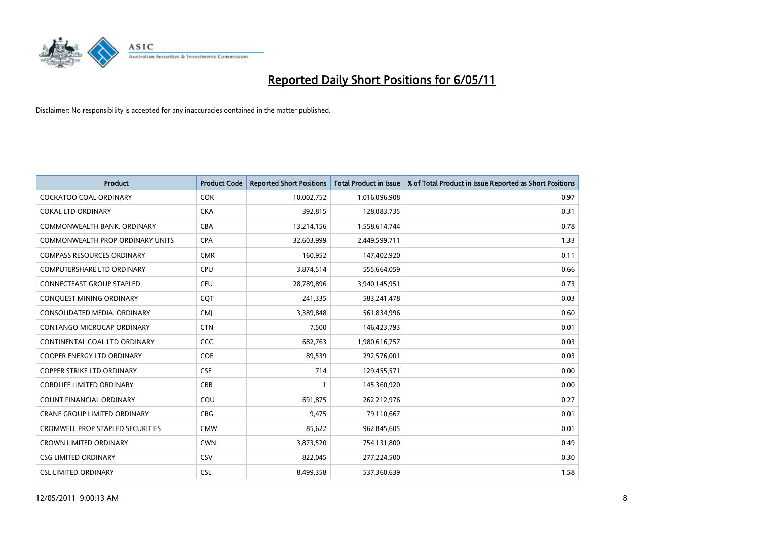

| <b>Product</b>                          | <b>Product Code</b> | <b>Reported Short Positions</b> | Total Product in Issue | % of Total Product in Issue Reported as Short Positions |
|-----------------------------------------|---------------------|---------------------------------|------------------------|---------------------------------------------------------|
| <b>COCKATOO COAL ORDINARY</b>           | <b>COK</b>          | 10,002,752                      | 1,016,096,908          | 0.97                                                    |
| <b>COKAL LTD ORDINARY</b>               | <b>CKA</b>          | 392,815                         | 128,083,735            | 0.31                                                    |
| COMMONWEALTH BANK, ORDINARY             | <b>CBA</b>          | 13,214,156                      | 1,558,614,744          | 0.78                                                    |
| COMMONWEALTH PROP ORDINARY UNITS        | <b>CPA</b>          | 32,603,999                      | 2,449,599,711          | 1.33                                                    |
| <b>COMPASS RESOURCES ORDINARY</b>       | <b>CMR</b>          | 160,952                         | 147,402,920            | 0.11                                                    |
| <b>COMPUTERSHARE LTD ORDINARY</b>       | CPU                 | 3,874,514                       | 555,664,059            | 0.66                                                    |
| <b>CONNECTEAST GROUP STAPLED</b>        | <b>CEU</b>          | 28,789,896                      | 3,940,145,951          | 0.73                                                    |
| CONQUEST MINING ORDINARY                | CQT                 | 241,335                         | 583,241,478            | 0.03                                                    |
| CONSOLIDATED MEDIA. ORDINARY            | <b>CMI</b>          | 3,389,848                       | 561,834,996            | 0.60                                                    |
| CONTANGO MICROCAP ORDINARY              | <b>CTN</b>          | 7,500                           | 146,423,793            | 0.01                                                    |
| CONTINENTAL COAL LTD ORDINARY           | CCC                 | 682,763                         | 1,980,616,757          | 0.03                                                    |
| <b>COOPER ENERGY LTD ORDINARY</b>       | <b>COE</b>          | 89,539                          | 292,576,001            | 0.03                                                    |
| <b>COPPER STRIKE LTD ORDINARY</b>       | <b>CSE</b>          | 714                             | 129,455,571            | 0.00                                                    |
| CORDLIFE LIMITED ORDINARY               | CBB                 |                                 | 145,360,920            | 0.00                                                    |
| <b>COUNT FINANCIAL ORDINARY</b>         | COU                 | 691,875                         | 262,212,976            | 0.27                                                    |
| CRANE GROUP LIMITED ORDINARY            | <b>CRG</b>          | 9,475                           | 79,110,667             | 0.01                                                    |
| <b>CROMWELL PROP STAPLED SECURITIES</b> | <b>CMW</b>          | 85,622                          | 962,845,605            | 0.01                                                    |
| <b>CROWN LIMITED ORDINARY</b>           | <b>CWN</b>          | 3,873,520                       | 754,131,800            | 0.49                                                    |
| <b>CSG LIMITED ORDINARY</b>             | CSV                 | 822,045                         | 277,224,500            | 0.30                                                    |
| <b>CSL LIMITED ORDINARY</b>             | <b>CSL</b>          | 8,499,358                       | 537,360,639            | 1.58                                                    |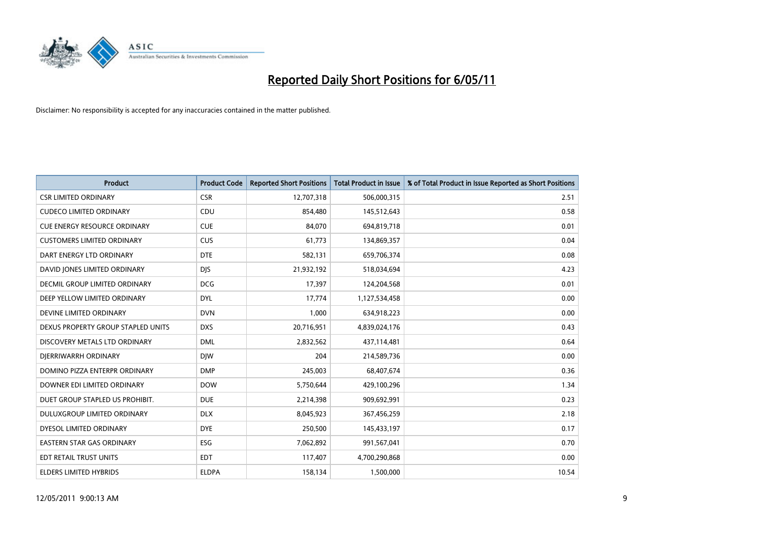

| <b>Product</b>                      | <b>Product Code</b> | <b>Reported Short Positions</b> | Total Product in Issue | % of Total Product in Issue Reported as Short Positions |
|-------------------------------------|---------------------|---------------------------------|------------------------|---------------------------------------------------------|
| <b>CSR LIMITED ORDINARY</b>         | <b>CSR</b>          | 12,707,318                      | 506,000,315            | 2.51                                                    |
| <b>CUDECO LIMITED ORDINARY</b>      | CDU                 | 854,480                         | 145,512,643            | 0.58                                                    |
| <b>CUE ENERGY RESOURCE ORDINARY</b> | <b>CUE</b>          | 84,070                          | 694,819,718            | 0.01                                                    |
| <b>CUSTOMERS LIMITED ORDINARY</b>   | CUS                 | 61,773                          | 134,869,357            | 0.04                                                    |
| DART ENERGY LTD ORDINARY            | <b>DTE</b>          | 582,131                         | 659,706,374            | 0.08                                                    |
| DAVID JONES LIMITED ORDINARY        | <b>DJS</b>          | 21,932,192                      | 518,034,694            | 4.23                                                    |
| DECMIL GROUP LIMITED ORDINARY       | <b>DCG</b>          | 17,397                          | 124,204,568            | 0.01                                                    |
| DEEP YELLOW LIMITED ORDINARY        | <b>DYL</b>          | 17,774                          | 1,127,534,458          | 0.00                                                    |
| DEVINE LIMITED ORDINARY             | <b>DVN</b>          | 1,000                           | 634,918,223            | 0.00                                                    |
| DEXUS PROPERTY GROUP STAPLED UNITS  | <b>DXS</b>          | 20,716,951                      | 4,839,024,176          | 0.43                                                    |
| DISCOVERY METALS LTD ORDINARY       | <b>DML</b>          | 2,832,562                       | 437,114,481            | 0.64                                                    |
| DJERRIWARRH ORDINARY                | <b>DIW</b>          | 204                             | 214,589,736            | 0.00                                                    |
| DOMINO PIZZA ENTERPR ORDINARY       | <b>DMP</b>          | 245,003                         | 68,407,674             | 0.36                                                    |
| DOWNER EDI LIMITED ORDINARY         | <b>DOW</b>          | 5,750,644                       | 429,100,296            | 1.34                                                    |
| DUET GROUP STAPLED US PROHIBIT.     | <b>DUE</b>          | 2,214,398                       | 909,692,991            | 0.23                                                    |
| DULUXGROUP LIMITED ORDINARY         | <b>DLX</b>          | 8,045,923                       | 367,456,259            | 2.18                                                    |
| DYESOL LIMITED ORDINARY             | <b>DYE</b>          | 250,500                         | 145,433,197            | 0.17                                                    |
| EASTERN STAR GAS ORDINARY           | <b>ESG</b>          | 7,062,892                       | 991,567,041            | 0.70                                                    |
| EDT RETAIL TRUST UNITS              | <b>EDT</b>          | 117,407                         | 4,700,290,868          | 0.00                                                    |
| <b>ELDERS LIMITED HYBRIDS</b>       | <b>ELDPA</b>        | 158,134                         | 1,500,000              | 10.54                                                   |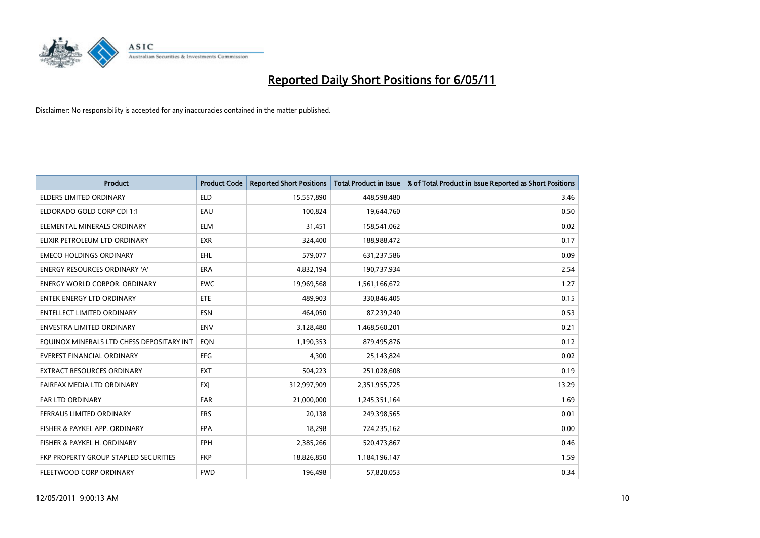

| <b>Product</b>                            | <b>Product Code</b> | <b>Reported Short Positions</b> | Total Product in Issue | % of Total Product in Issue Reported as Short Positions |
|-------------------------------------------|---------------------|---------------------------------|------------------------|---------------------------------------------------------|
| <b>ELDERS LIMITED ORDINARY</b>            | <b>ELD</b>          | 15,557,890                      | 448,598,480            | 3.46                                                    |
| ELDORADO GOLD CORP CDI 1:1                | EAU                 | 100,824                         | 19,644,760             | 0.50                                                    |
| ELEMENTAL MINERALS ORDINARY               | <b>ELM</b>          | 31,451                          | 158,541,062            | 0.02                                                    |
| ELIXIR PETROLEUM LTD ORDINARY             | <b>EXR</b>          | 324,400                         | 188,988,472            | 0.17                                                    |
| <b>EMECO HOLDINGS ORDINARY</b>            | <b>EHL</b>          | 579,077                         | 631,237,586            | 0.09                                                    |
| <b>ENERGY RESOURCES ORDINARY 'A'</b>      | <b>ERA</b>          | 4,832,194                       | 190,737,934            | 2.54                                                    |
| <b>ENERGY WORLD CORPOR, ORDINARY</b>      | <b>EWC</b>          | 19,969,568                      | 1,561,166,672          | 1.27                                                    |
| <b>ENTEK ENERGY LTD ORDINARY</b>          | ETE                 | 489,903                         | 330,846,405            | 0.15                                                    |
| <b>ENTELLECT LIMITED ORDINARY</b>         | <b>ESN</b>          | 464,050                         | 87,239,240             | 0.53                                                    |
| <b>ENVESTRA LIMITED ORDINARY</b>          | <b>ENV</b>          | 3,128,480                       | 1,468,560,201          | 0.21                                                    |
| EQUINOX MINERALS LTD CHESS DEPOSITARY INT | EON                 | 1,190,353                       | 879,495,876            | 0.12                                                    |
| <b>EVEREST FINANCIAL ORDINARY</b>         | <b>EFG</b>          | 4,300                           | 25,143,824             | 0.02                                                    |
| EXTRACT RESOURCES ORDINARY                | <b>EXT</b>          | 504,223                         | 251,028,608            | 0.19                                                    |
| FAIRFAX MEDIA LTD ORDINARY                | <b>FXI</b>          | 312,997,909                     | 2,351,955,725          | 13.29                                                   |
| <b>FAR LTD ORDINARY</b>                   | <b>FAR</b>          | 21,000,000                      | 1,245,351,164          | 1.69                                                    |
| FERRAUS LIMITED ORDINARY                  | <b>FRS</b>          | 20,138                          | 249,398,565            | 0.01                                                    |
| FISHER & PAYKEL APP. ORDINARY             | <b>FPA</b>          | 18,298                          | 724,235,162            | 0.00                                                    |
| FISHER & PAYKEL H. ORDINARY               | <b>FPH</b>          | 2,385,266                       | 520,473,867            | 0.46                                                    |
| FKP PROPERTY GROUP STAPLED SECURITIES     | <b>FKP</b>          | 18,826,850                      | 1,184,196,147          | 1.59                                                    |
| FLEETWOOD CORP ORDINARY                   | <b>FWD</b>          | 196,498                         | 57,820,053             | 0.34                                                    |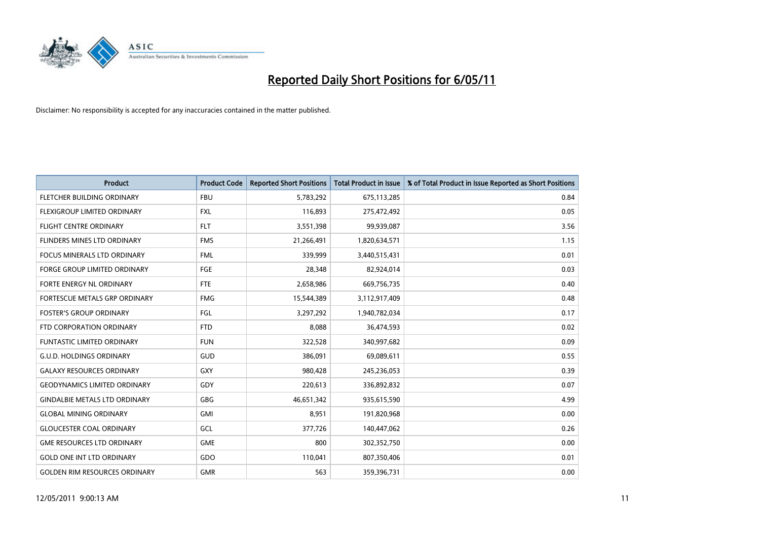

| <b>Product</b>                       | <b>Product Code</b> | <b>Reported Short Positions</b> | <b>Total Product in Issue</b> | % of Total Product in Issue Reported as Short Positions |
|--------------------------------------|---------------------|---------------------------------|-------------------------------|---------------------------------------------------------|
| FLETCHER BUILDING ORDINARY           | <b>FBU</b>          | 5,783,292                       | 675,113,285                   | 0.84                                                    |
| <b>FLEXIGROUP LIMITED ORDINARY</b>   | <b>FXL</b>          | 116,893                         | 275,472,492                   | 0.05                                                    |
| <b>FLIGHT CENTRE ORDINARY</b>        | <b>FLT</b>          | 3,551,398                       | 99,939,087                    | 3.56                                                    |
| FLINDERS MINES LTD ORDINARY          | <b>FMS</b>          | 21,266,491                      | 1,820,634,571                 | 1.15                                                    |
| <b>FOCUS MINERALS LTD ORDINARY</b>   | <b>FML</b>          | 339,999                         | 3,440,515,431                 | 0.01                                                    |
| <b>FORGE GROUP LIMITED ORDINARY</b>  | FGE                 | 28,348                          | 82,924,014                    | 0.03                                                    |
| <b>FORTE ENERGY NL ORDINARY</b>      | <b>FTE</b>          | 2,658,986                       | 669,756,735                   | 0.40                                                    |
| FORTESCUE METALS GRP ORDINARY        | <b>FMG</b>          | 15,544,389                      | 3,112,917,409                 | 0.48                                                    |
| <b>FOSTER'S GROUP ORDINARY</b>       | FGL                 | 3,297,292                       | 1,940,782,034                 | 0.17                                                    |
| FTD CORPORATION ORDINARY             | <b>FTD</b>          | 8,088                           | 36,474,593                    | 0.02                                                    |
| FUNTASTIC LIMITED ORDINARY           | <b>FUN</b>          | 322,528                         | 340,997,682                   | 0.09                                                    |
| <b>G.U.D. HOLDINGS ORDINARY</b>      | GUD                 | 386,091                         | 69,089,611                    | 0.55                                                    |
| <b>GALAXY RESOURCES ORDINARY</b>     | <b>GXY</b>          | 980,428                         | 245,236,053                   | 0.39                                                    |
| <b>GEODYNAMICS LIMITED ORDINARY</b>  | GDY                 | 220,613                         | 336,892,832                   | 0.07                                                    |
| <b>GINDALBIE METALS LTD ORDINARY</b> | <b>GBG</b>          | 46,651,342                      | 935,615,590                   | 4.99                                                    |
| <b>GLOBAL MINING ORDINARY</b>        | <b>GMI</b>          | 8,951                           | 191,820,968                   | 0.00                                                    |
| <b>GLOUCESTER COAL ORDINARY</b>      | GCL                 | 377,726                         | 140,447,062                   | 0.26                                                    |
| <b>GME RESOURCES LTD ORDINARY</b>    | <b>GME</b>          | 800                             | 302,352,750                   | 0.00                                                    |
| <b>GOLD ONE INT LTD ORDINARY</b>     | GDO                 | 110,041                         | 807,350,406                   | 0.01                                                    |
| <b>GOLDEN RIM RESOURCES ORDINARY</b> | <b>GMR</b>          | 563                             | 359,396,731                   | 0.00                                                    |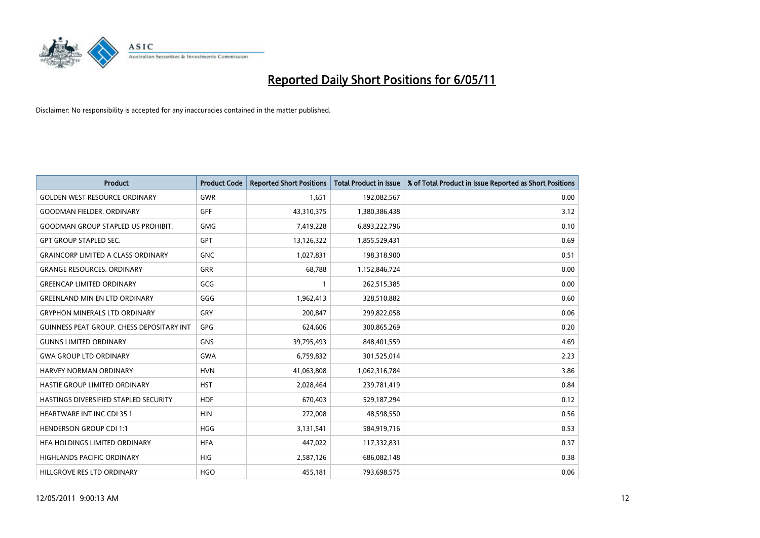

| <b>Product</b>                            | <b>Product Code</b> | <b>Reported Short Positions</b> | <b>Total Product in Issue</b> | % of Total Product in Issue Reported as Short Positions |
|-------------------------------------------|---------------------|---------------------------------|-------------------------------|---------------------------------------------------------|
| <b>GOLDEN WEST RESOURCE ORDINARY</b>      | <b>GWR</b>          | 1,651                           | 192,082,567                   | 0.00                                                    |
| <b>GOODMAN FIELDER, ORDINARY</b>          | <b>GFF</b>          | 43,310,375                      | 1,380,386,438                 | 3.12                                                    |
| <b>GOODMAN GROUP STAPLED US PROHIBIT.</b> | <b>GMG</b>          | 7,419,228                       | 6,893,222,796                 | 0.10                                                    |
| <b>GPT GROUP STAPLED SEC.</b>             | <b>GPT</b>          | 13,126,322                      | 1,855,529,431                 | 0.69                                                    |
| <b>GRAINCORP LIMITED A CLASS ORDINARY</b> | <b>GNC</b>          | 1,027,831                       | 198,318,900                   | 0.51                                                    |
| <b>GRANGE RESOURCES, ORDINARY</b>         | <b>GRR</b>          | 68,788                          | 1,152,846,724                 | 0.00                                                    |
| <b>GREENCAP LIMITED ORDINARY</b>          | GCG                 |                                 | 262,515,385                   | 0.00                                                    |
| <b>GREENLAND MIN EN LTD ORDINARY</b>      | GGG                 | 1,962,413                       | 328,510,882                   | 0.60                                                    |
| <b>GRYPHON MINERALS LTD ORDINARY</b>      | GRY                 | 200,847                         | 299,822,058                   | 0.06                                                    |
| GUINNESS PEAT GROUP. CHESS DEPOSITARY INT | GPG                 | 624,606                         | 300,865,269                   | 0.20                                                    |
| <b>GUNNS LIMITED ORDINARY</b>             | <b>GNS</b>          | 39,795,493                      | 848,401,559                   | 4.69                                                    |
| <b>GWA GROUP LTD ORDINARY</b>             | <b>GWA</b>          | 6,759,832                       | 301,525,014                   | 2.23                                                    |
| HARVEY NORMAN ORDINARY                    | <b>HVN</b>          | 41,063,808                      | 1,062,316,784                 | 3.86                                                    |
| HASTIE GROUP LIMITED ORDINARY             | <b>HST</b>          | 2,028,464                       | 239,781,419                   | 0.84                                                    |
| HASTINGS DIVERSIFIED STAPLED SECURITY     | <b>HDF</b>          | 670,403                         | 529,187,294                   | 0.12                                                    |
| <b>HEARTWARE INT INC CDI 35:1</b>         | <b>HIN</b>          | 272,008                         | 48,598,550                    | 0.56                                                    |
| <b>HENDERSON GROUP CDI 1:1</b>            | <b>HGG</b>          | 3,131,541                       | 584,919,716                   | 0.53                                                    |
| HFA HOLDINGS LIMITED ORDINARY             | <b>HFA</b>          | 447,022                         | 117,332,831                   | 0.37                                                    |
| <b>HIGHLANDS PACIFIC ORDINARY</b>         | <b>HIG</b>          | 2,587,126                       | 686,082,148                   | 0.38                                                    |
| HILLGROVE RES LTD ORDINARY                | <b>HGO</b>          | 455,181                         | 793,698,575                   | 0.06                                                    |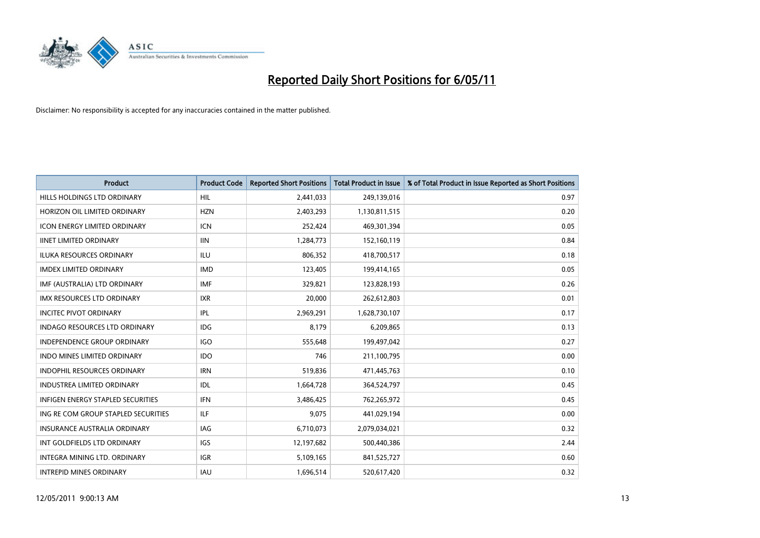

| <b>Product</b>                           | <b>Product Code</b> | <b>Reported Short Positions</b> | <b>Total Product in Issue</b> | % of Total Product in Issue Reported as Short Positions |
|------------------------------------------|---------------------|---------------------------------|-------------------------------|---------------------------------------------------------|
| HILLS HOLDINGS LTD ORDINARY              | HIL                 | 2,441,033                       | 249,139,016                   | 0.97                                                    |
| HORIZON OIL LIMITED ORDINARY             | <b>HZN</b>          | 2,403,293                       | 1,130,811,515                 | 0.20                                                    |
| <b>ICON ENERGY LIMITED ORDINARY</b>      | <b>ICN</b>          | 252,424                         | 469,301,394                   | 0.05                                                    |
| <b>IINET LIMITED ORDINARY</b>            | <b>IIN</b>          | 1,284,773                       | 152,160,119                   | 0.84                                                    |
| <b>ILUKA RESOURCES ORDINARY</b>          | <b>ILU</b>          | 806,352                         | 418,700,517                   | 0.18                                                    |
| <b>IMDEX LIMITED ORDINARY</b>            | <b>IMD</b>          | 123,405                         | 199,414,165                   | 0.05                                                    |
| IMF (AUSTRALIA) LTD ORDINARY             | <b>IMF</b>          | 329,821                         | 123,828,193                   | 0.26                                                    |
| <b>IMX RESOURCES LTD ORDINARY</b>        | <b>IXR</b>          | 20,000                          | 262,612,803                   | 0.01                                                    |
| <b>INCITEC PIVOT ORDINARY</b>            | <b>IPL</b>          | 2,969,291                       | 1,628,730,107                 | 0.17                                                    |
| <b>INDAGO RESOURCES LTD ORDINARY</b>     | <b>IDG</b>          | 8.179                           | 6,209,865                     | 0.13                                                    |
| <b>INDEPENDENCE GROUP ORDINARY</b>       | <b>IGO</b>          | 555,648                         | 199,497,042                   | 0.27                                                    |
| <b>INDO MINES LIMITED ORDINARY</b>       | <b>IDO</b>          | 746                             | 211,100,795                   | 0.00                                                    |
| <b>INDOPHIL RESOURCES ORDINARY</b>       | <b>IRN</b>          | 519,836                         | 471,445,763                   | 0.10                                                    |
| <b>INDUSTREA LIMITED ORDINARY</b>        | IDL                 | 1,664,728                       | 364,524,797                   | 0.45                                                    |
| <b>INFIGEN ENERGY STAPLED SECURITIES</b> | <b>IFN</b>          | 3,486,425                       | 762,265,972                   | 0.45                                                    |
| ING RE COM GROUP STAPLED SECURITIES      | <b>ILF</b>          | 9,075                           | 441,029,194                   | 0.00                                                    |
| <b>INSURANCE AUSTRALIA ORDINARY</b>      | <b>IAG</b>          | 6,710,073                       | 2,079,034,021                 | 0.32                                                    |
| INT GOLDFIELDS LTD ORDINARY              | <b>IGS</b>          | 12,197,682                      | 500,440,386                   | 2.44                                                    |
| <b>INTEGRA MINING LTD, ORDINARY</b>      | <b>IGR</b>          | 5,109,165                       | 841,525,727                   | 0.60                                                    |
| <b>INTREPID MINES ORDINARY</b>           | <b>IAU</b>          | 1,696,514                       | 520,617,420                   | 0.32                                                    |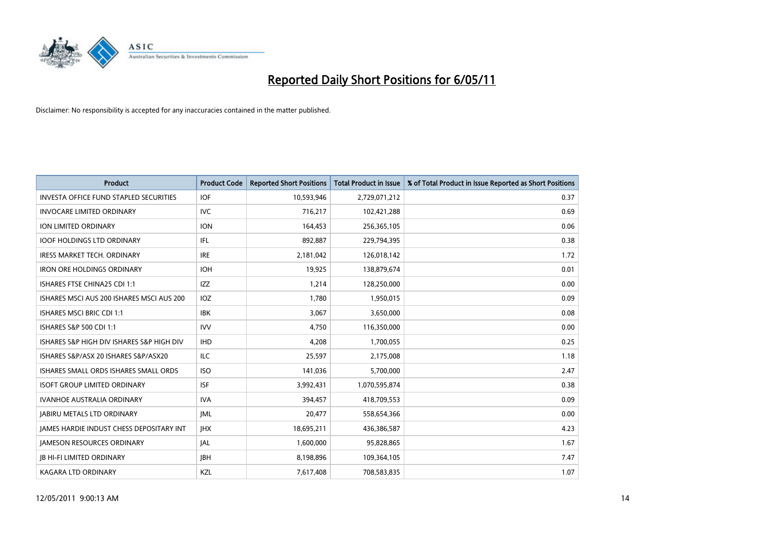

| <b>Product</b>                                  | <b>Product Code</b> | <b>Reported Short Positions</b> | Total Product in Issue | % of Total Product in Issue Reported as Short Positions |
|-------------------------------------------------|---------------------|---------------------------------|------------------------|---------------------------------------------------------|
| <b>INVESTA OFFICE FUND STAPLED SECURITIES</b>   | <b>IOF</b>          | 10,593,946                      | 2,729,071,212          | 0.37                                                    |
| <b>INVOCARE LIMITED ORDINARY</b>                | <b>IVC</b>          | 716,217                         | 102,421,288            | 0.69                                                    |
| <b>ION LIMITED ORDINARY</b>                     | <b>ION</b>          | 164,453                         | 256,365,105            | 0.06                                                    |
| <b>IOOF HOLDINGS LTD ORDINARY</b>               | IFL.                | 892,887                         | 229,794,395            | 0.38                                                    |
| <b>IRESS MARKET TECH. ORDINARY</b>              | <b>IRE</b>          | 2,181,042                       | 126,018,142            | 1.72                                                    |
| <b>IRON ORE HOLDINGS ORDINARY</b>               | <b>IOH</b>          | 19.925                          | 138,879,674            | 0.01                                                    |
| ISHARES FTSE CHINA25 CDI 1:1                    | <b>IZZ</b>          | 1,214                           | 128,250,000            | 0.00                                                    |
| ISHARES MSCI AUS 200 ISHARES MSCI AUS 200       | IOZ                 | 1,780                           | 1,950,015              | 0.09                                                    |
| ISHARES MSCI BRIC CDI 1:1                       | <b>IBK</b>          | 3,067                           | 3,650,000              | 0.08                                                    |
| ISHARES S&P 500 CDI 1:1                         | <b>IVV</b>          | 4,750                           | 116,350,000            | 0.00                                                    |
| ISHARES S&P HIGH DIV ISHARES S&P HIGH DIV       | <b>IHD</b>          | 4,208                           | 1,700,055              | 0.25                                                    |
| ISHARES S&P/ASX 20 ISHARES S&P/ASX20            | ILC                 | 25,597                          | 2,175,008              | 1.18                                                    |
| ISHARES SMALL ORDS ISHARES SMALL ORDS           | <b>ISO</b>          | 141,036                         | 5,700,000              | 2.47                                                    |
| <b>ISOFT GROUP LIMITED ORDINARY</b>             | <b>ISF</b>          | 3,992,431                       | 1,070,595,874          | 0.38                                                    |
| <b>IVANHOE AUSTRALIA ORDINARY</b>               | <b>IVA</b>          | 394,457                         | 418,709,553            | 0.09                                                    |
| <b>JABIRU METALS LTD ORDINARY</b>               | <b>JML</b>          | 20,477                          | 558,654,366            | 0.00                                                    |
| <b>JAMES HARDIE INDUST CHESS DEPOSITARY INT</b> | <b>IHX</b>          | 18,695,211                      | 436,386,587            | 4.23                                                    |
| <b>JAMESON RESOURCES ORDINARY</b>               | JAL                 | 1,600,000                       | 95,828,865             | 1.67                                                    |
| <b>JB HI-FI LIMITED ORDINARY</b>                | <b>IBH</b>          | 8,198,896                       | 109,364,105            | 7.47                                                    |
| KAGARA LTD ORDINARY                             | KZL                 | 7,617,408                       | 708,583,835            | 1.07                                                    |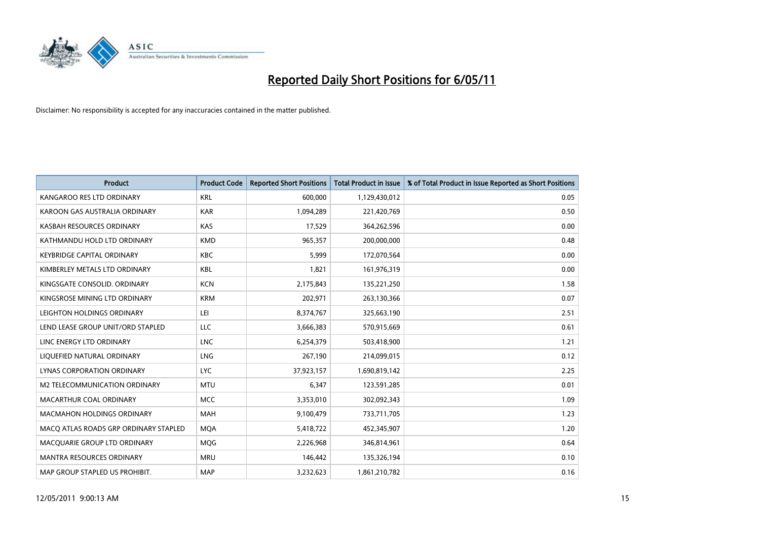

| <b>Product</b>                        | <b>Product Code</b> | <b>Reported Short Positions</b> | <b>Total Product in Issue</b> | % of Total Product in Issue Reported as Short Positions |
|---------------------------------------|---------------------|---------------------------------|-------------------------------|---------------------------------------------------------|
| KANGAROO RES LTD ORDINARY             | <b>KRL</b>          | 600,000                         | 1,129,430,012                 | 0.05                                                    |
| KAROON GAS AUSTRALIA ORDINARY         | <b>KAR</b>          | 1,094,289                       | 221,420,769                   | 0.50                                                    |
| KASBAH RESOURCES ORDINARY             | <b>KAS</b>          | 17,529                          | 364,262,596                   | 0.00                                                    |
| KATHMANDU HOLD LTD ORDINARY           | <b>KMD</b>          | 965,357                         | 200,000,000                   | 0.48                                                    |
| <b>KEYBRIDGE CAPITAL ORDINARY</b>     | <b>KBC</b>          | 5,999                           | 172,070,564                   | 0.00                                                    |
| KIMBERLEY METALS LTD ORDINARY         | <b>KBL</b>          | 1,821                           | 161,976,319                   | 0.00                                                    |
| KINGSGATE CONSOLID, ORDINARY          | <b>KCN</b>          | 2,175,843                       | 135,221,250                   | 1.58                                                    |
| KINGSROSE MINING LTD ORDINARY         | <b>KRM</b>          | 202,971                         | 263,130,366                   | 0.07                                                    |
| LEIGHTON HOLDINGS ORDINARY            | LEI                 | 8,374,767                       | 325,663,190                   | 2.51                                                    |
| LEND LEASE GROUP UNIT/ORD STAPLED     | LLC                 | 3,666,383                       | 570,915,669                   | 0.61                                                    |
| LINC ENERGY LTD ORDINARY              | <b>LNC</b>          | 6,254,379                       | 503,418,900                   | 1.21                                                    |
| LIQUEFIED NATURAL ORDINARY            | LNG                 | 267,190                         | 214,099,015                   | 0.12                                                    |
| LYNAS CORPORATION ORDINARY            | <b>LYC</b>          | 37,923,157                      | 1,690,819,142                 | 2.25                                                    |
| M2 TELECOMMUNICATION ORDINARY         | <b>MTU</b>          | 6,347                           | 123,591,285                   | 0.01                                                    |
| MACARTHUR COAL ORDINARY               | <b>MCC</b>          | 3,353,010                       | 302,092,343                   | 1.09                                                    |
| <b>MACMAHON HOLDINGS ORDINARY</b>     | <b>MAH</b>          | 9,100,479                       | 733,711,705                   | 1.23                                                    |
| MACO ATLAS ROADS GRP ORDINARY STAPLED | <b>MQA</b>          | 5,418,722                       | 452,345,907                   | 1.20                                                    |
| MACQUARIE GROUP LTD ORDINARY          | MQG                 | 2,226,968                       | 346,814,961                   | 0.64                                                    |
| <b>MANTRA RESOURCES ORDINARY</b>      | <b>MRU</b>          | 146,442                         | 135,326,194                   | 0.10                                                    |
| MAP GROUP STAPLED US PROHIBIT.        | <b>MAP</b>          | 3,232,623                       | 1,861,210,782                 | 0.16                                                    |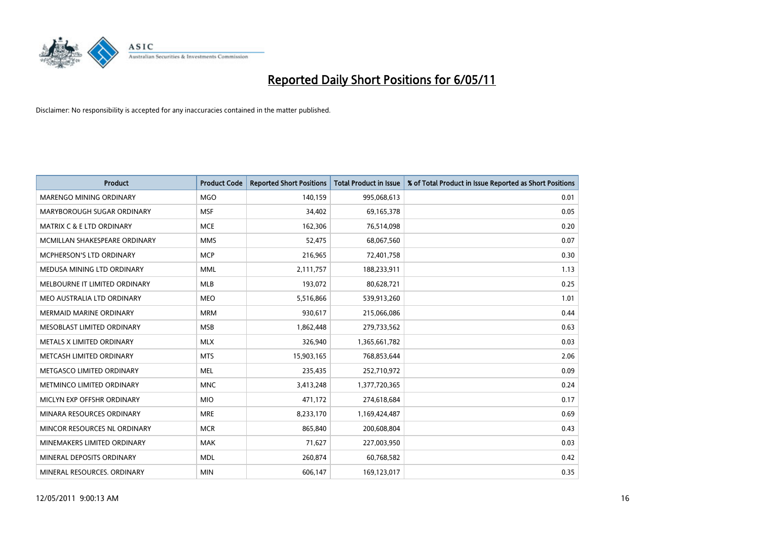

| <b>Product</b>                       | <b>Product Code</b> | <b>Reported Short Positions</b> | <b>Total Product in Issue</b> | % of Total Product in Issue Reported as Short Positions |
|--------------------------------------|---------------------|---------------------------------|-------------------------------|---------------------------------------------------------|
| <b>MARENGO MINING ORDINARY</b>       | <b>MGO</b>          | 140,159                         | 995,068,613                   | 0.01                                                    |
| MARYBOROUGH SUGAR ORDINARY           | <b>MSF</b>          | 34,402                          | 69,165,378                    | 0.05                                                    |
| <b>MATRIX C &amp; E LTD ORDINARY</b> | <b>MCE</b>          | 162.306                         | 76,514,098                    | 0.20                                                    |
| MCMILLAN SHAKESPEARE ORDINARY        | <b>MMS</b>          | 52,475                          | 68,067,560                    | 0.07                                                    |
| <b>MCPHERSON'S LTD ORDINARY</b>      | <b>MCP</b>          | 216,965                         | 72,401,758                    | 0.30                                                    |
| MEDUSA MINING LTD ORDINARY           | <b>MML</b>          | 2,111,757                       | 188,233,911                   | 1.13                                                    |
| MELBOURNE IT LIMITED ORDINARY        | <b>MLB</b>          | 193,072                         | 80,628,721                    | 0.25                                                    |
| MEO AUSTRALIA LTD ORDINARY           | <b>MEO</b>          | 5,516,866                       | 539,913,260                   | 1.01                                                    |
| <b>MERMAID MARINE ORDINARY</b>       | <b>MRM</b>          | 930,617                         | 215,066,086                   | 0.44                                                    |
| MESOBLAST LIMITED ORDINARY           | <b>MSB</b>          | 1,862,448                       | 279,733,562                   | 0.63                                                    |
| METALS X LIMITED ORDINARY            | <b>MLX</b>          | 326,940                         | 1,365,661,782                 | 0.03                                                    |
| METCASH LIMITED ORDINARY             | <b>MTS</b>          | 15,903,165                      | 768,853,644                   | 2.06                                                    |
| METGASCO LIMITED ORDINARY            | <b>MEL</b>          | 235,435                         | 252,710,972                   | 0.09                                                    |
| METMINCO LIMITED ORDINARY            | <b>MNC</b>          | 3,413,248                       | 1,377,720,365                 | 0.24                                                    |
| MICLYN EXP OFFSHR ORDINARY           | <b>MIO</b>          | 471,172                         | 274,618,684                   | 0.17                                                    |
| MINARA RESOURCES ORDINARY            | <b>MRE</b>          | 8,233,170                       | 1,169,424,487                 | 0.69                                                    |
| MINCOR RESOURCES NL ORDINARY         | <b>MCR</b>          | 865,840                         | 200,608,804                   | 0.43                                                    |
| MINEMAKERS LIMITED ORDINARY          | <b>MAK</b>          | 71,627                          | 227,003,950                   | 0.03                                                    |
| MINERAL DEPOSITS ORDINARY            | <b>MDL</b>          | 260,874                         | 60,768,582                    | 0.42                                                    |
| MINERAL RESOURCES. ORDINARY          | <b>MIN</b>          | 606,147                         | 169,123,017                   | 0.35                                                    |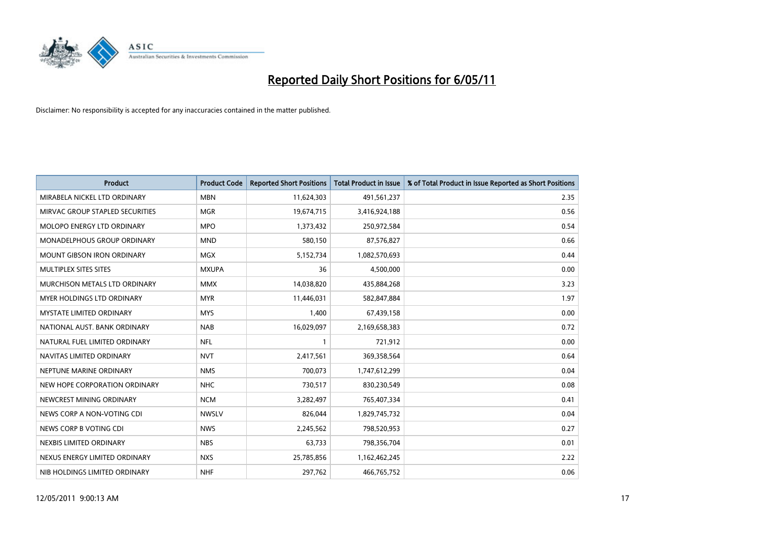

| <b>Product</b>                    | <b>Product Code</b> | <b>Reported Short Positions</b> | <b>Total Product in Issue</b> | % of Total Product in Issue Reported as Short Positions |
|-----------------------------------|---------------------|---------------------------------|-------------------------------|---------------------------------------------------------|
| MIRABELA NICKEL LTD ORDINARY      | <b>MBN</b>          | 11,624,303                      | 491,561,237                   | 2.35                                                    |
| MIRVAC GROUP STAPLED SECURITIES   | <b>MGR</b>          | 19,674,715                      | 3,416,924,188                 | 0.56                                                    |
| <b>MOLOPO ENERGY LTD ORDINARY</b> | <b>MPO</b>          | 1,373,432                       | 250,972,584                   | 0.54                                                    |
| MONADELPHOUS GROUP ORDINARY       | <b>MND</b>          | 580,150                         | 87,576,827                    | 0.66                                                    |
| <b>MOUNT GIBSON IRON ORDINARY</b> | <b>MGX</b>          | 5,152,734                       | 1,082,570,693                 | 0.44                                                    |
| MULTIPLEX SITES SITES             | <b>MXUPA</b>        | 36                              | 4,500,000                     | 0.00                                                    |
| MURCHISON METALS LTD ORDINARY     | <b>MMX</b>          | 14,038,820                      | 435,884,268                   | 3.23                                                    |
| <b>MYER HOLDINGS LTD ORDINARY</b> | <b>MYR</b>          | 11,446,031                      | 582,847,884                   | 1.97                                                    |
| <b>MYSTATE LIMITED ORDINARY</b>   | <b>MYS</b>          | 1,400                           | 67,439,158                    | 0.00                                                    |
| NATIONAL AUST, BANK ORDINARY      | <b>NAB</b>          | 16,029,097                      | 2,169,658,383                 | 0.72                                                    |
| NATURAL FUEL LIMITED ORDINARY     | <b>NFL</b>          |                                 | 721,912                       | 0.00                                                    |
| NAVITAS LIMITED ORDINARY          | <b>NVT</b>          | 2,417,561                       | 369,358,564                   | 0.64                                                    |
| NEPTUNE MARINE ORDINARY           | <b>NMS</b>          | 700.073                         | 1,747,612,299                 | 0.04                                                    |
| NEW HOPE CORPORATION ORDINARY     | <b>NHC</b>          | 730,517                         | 830,230,549                   | 0.08                                                    |
| NEWCREST MINING ORDINARY          | <b>NCM</b>          | 3,282,497                       | 765,407,334                   | 0.41                                                    |
| NEWS CORP A NON-VOTING CDI        | <b>NWSLV</b>        | 826.044                         | 1,829,745,732                 | 0.04                                                    |
| NEWS CORP B VOTING CDI            | <b>NWS</b>          | 2,245,562                       | 798,520,953                   | 0.27                                                    |
| NEXBIS LIMITED ORDINARY           | <b>NBS</b>          | 63,733                          | 798,356,704                   | 0.01                                                    |
| NEXUS ENERGY LIMITED ORDINARY     | <b>NXS</b>          | 25,785,856                      | 1,162,462,245                 | 2.22                                                    |
| NIB HOLDINGS LIMITED ORDINARY     | <b>NHF</b>          | 297.762                         | 466,765,752                   | 0.06                                                    |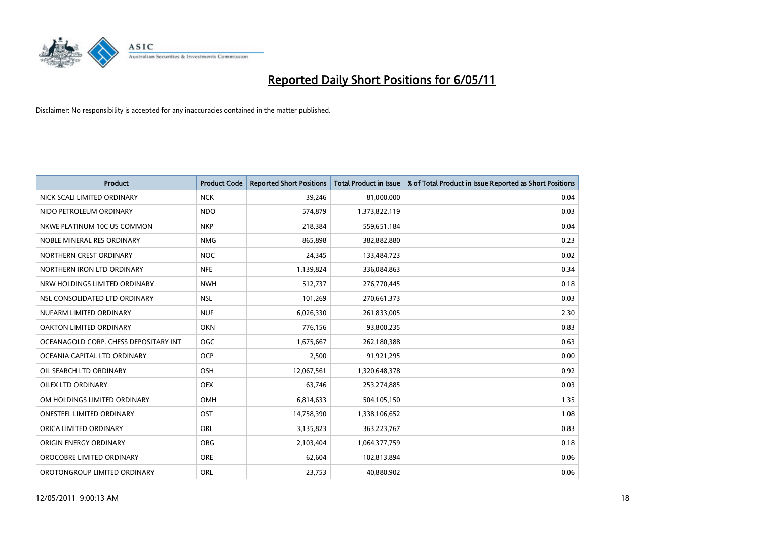

| <b>Product</b>                        | <b>Product Code</b> | <b>Reported Short Positions</b> | Total Product in Issue | % of Total Product in Issue Reported as Short Positions |
|---------------------------------------|---------------------|---------------------------------|------------------------|---------------------------------------------------------|
| NICK SCALI LIMITED ORDINARY           | <b>NCK</b>          | 39,246                          | 81,000,000             | 0.04                                                    |
| NIDO PETROLEUM ORDINARY               | <b>NDO</b>          | 574,879                         | 1,373,822,119          | 0.03                                                    |
| NKWE PLATINUM 10C US COMMON           | <b>NKP</b>          | 218,384                         | 559,651,184            | 0.04                                                    |
| NOBLE MINERAL RES ORDINARY            | <b>NMG</b>          | 865,898                         | 382,882,880            | 0.23                                                    |
| NORTHERN CREST ORDINARY               | <b>NOC</b>          | 24,345                          | 133,484,723            | 0.02                                                    |
| NORTHERN IRON LTD ORDINARY            | <b>NFE</b>          | 1,139,824                       | 336,084,863            | 0.34                                                    |
| NRW HOLDINGS LIMITED ORDINARY         | <b>NWH</b>          | 512,737                         | 276,770,445            | 0.18                                                    |
| NSL CONSOLIDATED LTD ORDINARY         | <b>NSL</b>          | 101,269                         | 270,661,373            | 0.03                                                    |
| NUFARM LIMITED ORDINARY               | <b>NUF</b>          | 6,026,330                       | 261,833,005            | 2.30                                                    |
| OAKTON LIMITED ORDINARY               | <b>OKN</b>          | 776,156                         | 93,800,235             | 0.83                                                    |
| OCEANAGOLD CORP. CHESS DEPOSITARY INT | <b>OGC</b>          | 1,675,667                       | 262,180,388            | 0.63                                                    |
| OCEANIA CAPITAL LTD ORDINARY          | <b>OCP</b>          | 2,500                           | 91,921,295             | 0.00                                                    |
| OIL SEARCH LTD ORDINARY               | OSH                 | 12,067,561                      | 1,320,648,378          | 0.92                                                    |
| <b>OILEX LTD ORDINARY</b>             | <b>OEX</b>          | 63,746                          | 253,274,885            | 0.03                                                    |
| OM HOLDINGS LIMITED ORDINARY          | OMH                 | 6,814,633                       | 504,105,150            | 1.35                                                    |
| ONESTEEL LIMITED ORDINARY             | OST                 | 14,758,390                      | 1,338,106,652          | 1.08                                                    |
| ORICA LIMITED ORDINARY                | ORI                 | 3,135,823                       | 363,223,767            | 0.83                                                    |
| ORIGIN ENERGY ORDINARY                | <b>ORG</b>          | 2,103,404                       | 1,064,377,759          | 0.18                                                    |
| OROCOBRE LIMITED ORDINARY             | <b>ORE</b>          | 62,604                          | 102,813,894            | 0.06                                                    |
| OROTONGROUP LIMITED ORDINARY          | <b>ORL</b>          | 23,753                          | 40,880,902             | 0.06                                                    |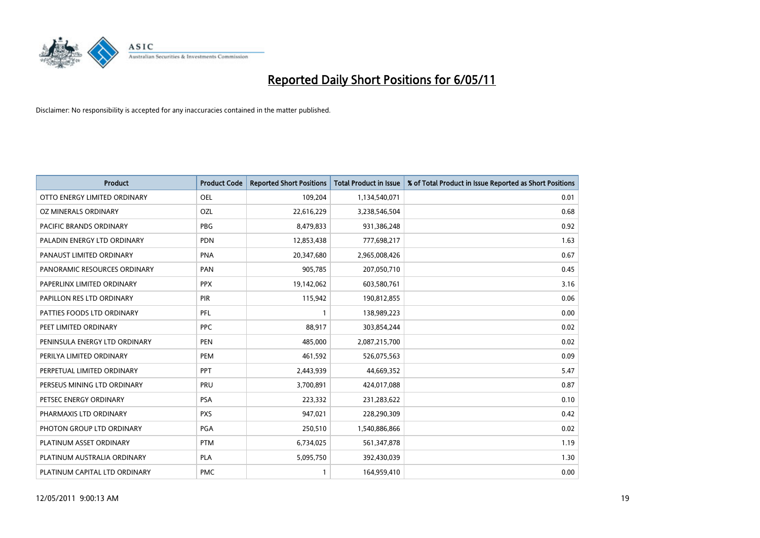

| <b>Product</b>                | <b>Product Code</b> | <b>Reported Short Positions</b> | <b>Total Product in Issue</b> | % of Total Product in Issue Reported as Short Positions |
|-------------------------------|---------------------|---------------------------------|-------------------------------|---------------------------------------------------------|
| OTTO ENERGY LIMITED ORDINARY  | OEL                 | 109,204                         | 1,134,540,071                 | 0.01                                                    |
| OZ MINERALS ORDINARY          | OZL                 | 22,616,229                      | 3,238,546,504                 | 0.68                                                    |
| PACIFIC BRANDS ORDINARY       | <b>PBG</b>          | 8,479,833                       | 931,386,248                   | 0.92                                                    |
| PALADIN ENERGY LTD ORDINARY   | <b>PDN</b>          | 12,853,438                      | 777,698,217                   | 1.63                                                    |
| PANAUST LIMITED ORDINARY      | <b>PNA</b>          | 20,347,680                      | 2,965,008,426                 | 0.67                                                    |
| PANORAMIC RESOURCES ORDINARY  | PAN                 | 905,785                         | 207,050,710                   | 0.45                                                    |
| PAPERLINX LIMITED ORDINARY    | <b>PPX</b>          | 19,142,062                      | 603,580,761                   | 3.16                                                    |
| PAPILLON RES LTD ORDINARY     | PIR                 | 115,942                         | 190,812,855                   | 0.06                                                    |
| PATTIES FOODS LTD ORDINARY    | PFL                 |                                 | 138,989,223                   | 0.00                                                    |
| PEET LIMITED ORDINARY         | <b>PPC</b>          | 88,917                          | 303,854,244                   | 0.02                                                    |
| PENINSULA ENERGY LTD ORDINARY | <b>PEN</b>          | 485,000                         | 2,087,215,700                 | 0.02                                                    |
| PERILYA LIMITED ORDINARY      | PEM                 | 461,592                         | 526,075,563                   | 0.09                                                    |
| PERPETUAL LIMITED ORDINARY    | PPT                 | 2,443,939                       | 44,669,352                    | 5.47                                                    |
| PERSEUS MINING LTD ORDINARY   | PRU                 | 3,700,891                       | 424,017,088                   | 0.87                                                    |
| PETSEC ENERGY ORDINARY        | <b>PSA</b>          | 223,332                         | 231,283,622                   | 0.10                                                    |
| PHARMAXIS LTD ORDINARY        | <b>PXS</b>          | 947,021                         | 228,290,309                   | 0.42                                                    |
| PHOTON GROUP LTD ORDINARY     | PGA                 | 250,510                         | 1,540,886,866                 | 0.02                                                    |
| PLATINUM ASSET ORDINARY       | <b>PTM</b>          | 6,734,025                       | 561,347,878                   | 1.19                                                    |
| PLATINUM AUSTRALIA ORDINARY   | <b>PLA</b>          | 5,095,750                       | 392,430,039                   | 1.30                                                    |
| PLATINUM CAPITAL LTD ORDINARY | <b>PMC</b>          |                                 | 164,959,410                   | 0.00                                                    |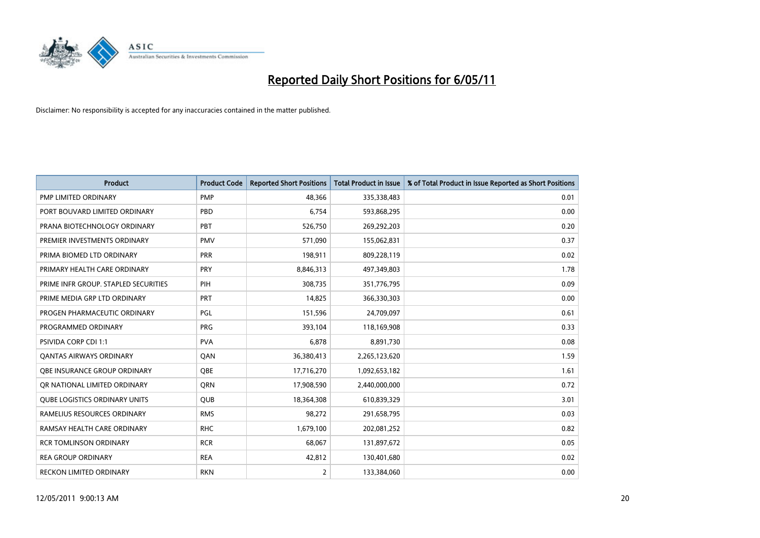

| <b>Product</b>                       | <b>Product Code</b> | <b>Reported Short Positions</b> | Total Product in Issue | % of Total Product in Issue Reported as Short Positions |
|--------------------------------------|---------------------|---------------------------------|------------------------|---------------------------------------------------------|
| PMP LIMITED ORDINARY                 | <b>PMP</b>          | 48,366                          | 335,338,483            | 0.01                                                    |
| PORT BOUVARD LIMITED ORDINARY        | PBD                 | 6,754                           | 593,868,295            | 0.00                                                    |
| PRANA BIOTECHNOLOGY ORDINARY         | PBT                 | 526,750                         | 269,292,203            | 0.20                                                    |
| PREMIER INVESTMENTS ORDINARY         | <b>PMV</b>          | 571,090                         | 155,062,831            | 0.37                                                    |
| PRIMA BIOMED LTD ORDINARY            | <b>PRR</b>          | 198,911                         | 809,228,119            | 0.02                                                    |
| PRIMARY HEALTH CARE ORDINARY         | PRY                 | 8,846,313                       | 497,349,803            | 1.78                                                    |
| PRIME INFR GROUP. STAPLED SECURITIES | PIH                 | 308.735                         | 351,776,795            | 0.09                                                    |
| PRIME MEDIA GRP LTD ORDINARY         | <b>PRT</b>          | 14,825                          | 366,330,303            | 0.00                                                    |
| PROGEN PHARMACEUTIC ORDINARY         | PGL                 | 151,596                         | 24,709,097             | 0.61                                                    |
| PROGRAMMED ORDINARY                  | <b>PRG</b>          | 393,104                         | 118,169,908            | 0.33                                                    |
| PSIVIDA CORP CDI 1:1                 | <b>PVA</b>          | 6,878                           | 8,891,730              | 0.08                                                    |
| <b>QANTAS AIRWAYS ORDINARY</b>       | QAN                 | 36,380,413                      | 2,265,123,620          | 1.59                                                    |
| OBE INSURANCE GROUP ORDINARY         | OBE                 | 17,716,270                      | 1,092,653,182          | 1.61                                                    |
| OR NATIONAL LIMITED ORDINARY         | <b>ORN</b>          | 17,908,590                      | 2,440,000,000          | 0.72                                                    |
| <b>QUBE LOGISTICS ORDINARY UNITS</b> | <b>QUB</b>          | 18,364,308                      | 610,839,329            | 3.01                                                    |
| RAMELIUS RESOURCES ORDINARY          | <b>RMS</b>          | 98,272                          | 291,658,795            | 0.03                                                    |
| RAMSAY HEALTH CARE ORDINARY          | <b>RHC</b>          | 1,679,100                       | 202,081,252            | 0.82                                                    |
| <b>RCR TOMLINSON ORDINARY</b>        | <b>RCR</b>          | 68,067                          | 131,897,672            | 0.05                                                    |
| <b>REA GROUP ORDINARY</b>            | <b>REA</b>          | 42,812                          | 130,401,680            | 0.02                                                    |
| <b>RECKON LIMITED ORDINARY</b>       | <b>RKN</b>          | $\overline{2}$                  | 133,384,060            | 0.00                                                    |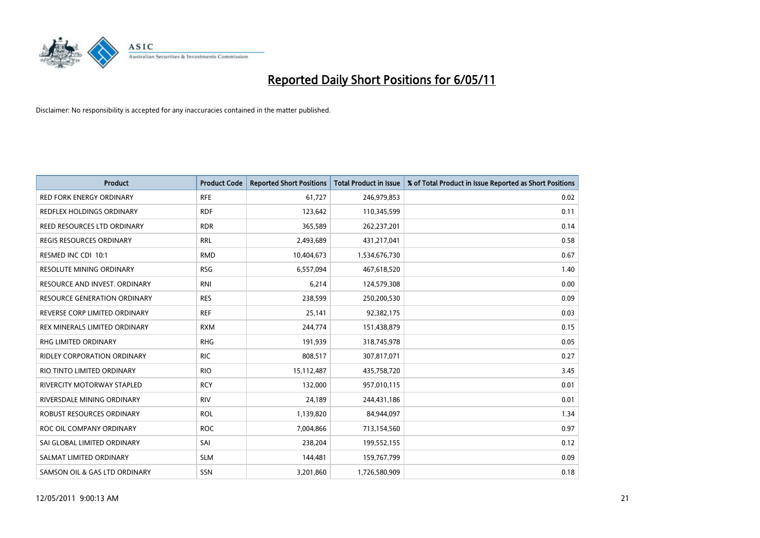

| <b>Product</b>                      | <b>Product Code</b> | <b>Reported Short Positions</b> | Total Product in Issue | % of Total Product in Issue Reported as Short Positions |
|-------------------------------------|---------------------|---------------------------------|------------------------|---------------------------------------------------------|
| <b>RED FORK ENERGY ORDINARY</b>     | <b>RFE</b>          | 61,727                          | 246,979,853            | 0.02                                                    |
| REDFLEX HOLDINGS ORDINARY           | <b>RDF</b>          | 123,642                         | 110,345,599            | 0.11                                                    |
| REED RESOURCES LTD ORDINARY         | <b>RDR</b>          | 365,589                         | 262,237,201            | 0.14                                                    |
| REGIS RESOURCES ORDINARY            | <b>RRL</b>          | 2,493,689                       | 431,217,041            | 0.58                                                    |
| RESMED INC CDI 10:1                 | <b>RMD</b>          | 10,404,673                      | 1,534,676,730          | 0.67                                                    |
| <b>RESOLUTE MINING ORDINARY</b>     | <b>RSG</b>          | 6,557,094                       | 467,618,520            | 1.40                                                    |
| RESOURCE AND INVEST. ORDINARY       | <b>RNI</b>          | 6,214                           | 124,579,308            | 0.00                                                    |
| <b>RESOURCE GENERATION ORDINARY</b> | <b>RES</b>          | 238,599                         | 250,200,530            | 0.09                                                    |
| REVERSE CORP LIMITED ORDINARY       | <b>REF</b>          | 25,141                          | 92,382,175             | 0.03                                                    |
| REX MINERALS LIMITED ORDINARY       | <b>RXM</b>          | 244,774                         | 151,438,879            | 0.15                                                    |
| RHG LIMITED ORDINARY                | <b>RHG</b>          | 191,939                         | 318,745,978            | 0.05                                                    |
| <b>RIDLEY CORPORATION ORDINARY</b>  | <b>RIC</b>          | 808,517                         | 307,817,071            | 0.27                                                    |
| RIO TINTO LIMITED ORDINARY          | <b>RIO</b>          | 15,112,487                      | 435,758,720            | 3.45                                                    |
| <b>RIVERCITY MOTORWAY STAPLED</b>   | <b>RCY</b>          | 132,000                         | 957,010,115            | 0.01                                                    |
| RIVERSDALE MINING ORDINARY          | <b>RIV</b>          | 24,189                          | 244,431,186            | 0.01                                                    |
| ROBUST RESOURCES ORDINARY           | <b>ROL</b>          | 1,139,820                       | 84,944,097             | 1.34                                                    |
| ROC OIL COMPANY ORDINARY            | <b>ROC</b>          | 7,004,866                       | 713,154,560            | 0.97                                                    |
| SAI GLOBAL LIMITED ORDINARY         | SAI                 | 238,204                         | 199,552,155            | 0.12                                                    |
| SALMAT LIMITED ORDINARY             | <b>SLM</b>          | 144,481                         | 159,767,799            | 0.09                                                    |
| SAMSON OIL & GAS LTD ORDINARY       | SSN                 | 3,201,860                       | 1,726,580,909          | 0.18                                                    |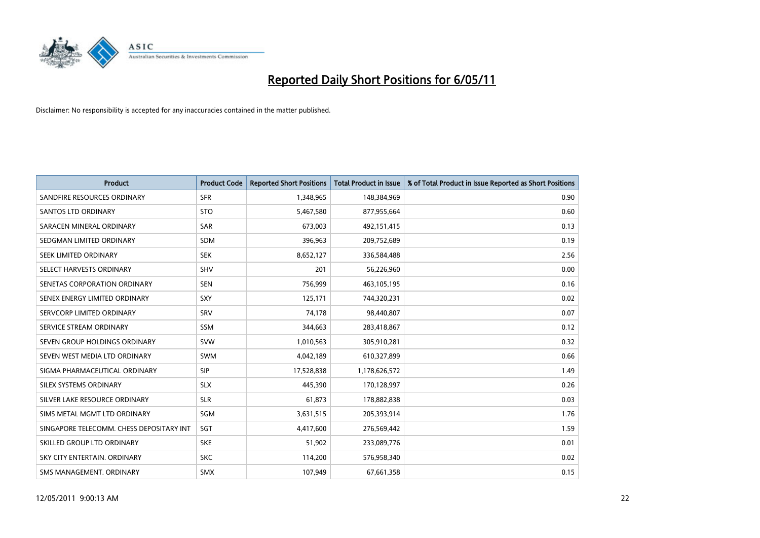

| <b>Product</b>                           | <b>Product Code</b> | <b>Reported Short Positions</b> | <b>Total Product in Issue</b> | % of Total Product in Issue Reported as Short Positions |
|------------------------------------------|---------------------|---------------------------------|-------------------------------|---------------------------------------------------------|
| SANDFIRE RESOURCES ORDINARY              | <b>SFR</b>          | 1,348,965                       | 148,384,969                   | 0.90                                                    |
| SANTOS LTD ORDINARY                      | <b>STO</b>          | 5,467,580                       | 877,955,664                   | 0.60                                                    |
| SARACEN MINERAL ORDINARY                 | <b>SAR</b>          | 673.003                         | 492,151,415                   | 0.13                                                    |
| SEDGMAN LIMITED ORDINARY                 | <b>SDM</b>          | 396,963                         | 209,752,689                   | 0.19                                                    |
| SEEK LIMITED ORDINARY                    | <b>SEK</b>          | 8,652,127                       | 336,584,488                   | 2.56                                                    |
| SELECT HARVESTS ORDINARY                 | SHV                 | 201                             | 56,226,960                    | 0.00                                                    |
| SENETAS CORPORATION ORDINARY             | <b>SEN</b>          | 756,999                         | 463,105,195                   | 0.16                                                    |
| SENEX ENERGY LIMITED ORDINARY            | <b>SXY</b>          | 125,171                         | 744,320,231                   | 0.02                                                    |
| SERVCORP LIMITED ORDINARY                | SRV                 | 74,178                          | 98,440,807                    | 0.07                                                    |
| SERVICE STREAM ORDINARY                  | <b>SSM</b>          | 344,663                         | 283,418,867                   | 0.12                                                    |
| SEVEN GROUP HOLDINGS ORDINARY            | <b>SVW</b>          | 1,010,563                       | 305,910,281                   | 0.32                                                    |
| SEVEN WEST MEDIA LTD ORDINARY            | <b>SWM</b>          | 4,042,189                       | 610,327,899                   | 0.66                                                    |
| SIGMA PHARMACEUTICAL ORDINARY            | SIP                 | 17,528,838                      | 1,178,626,572                 | 1.49                                                    |
| SILEX SYSTEMS ORDINARY                   | <b>SLX</b>          | 445,390                         | 170,128,997                   | 0.26                                                    |
| SILVER LAKE RESOURCE ORDINARY            | <b>SLR</b>          | 61,873                          | 178,882,838                   | 0.03                                                    |
| SIMS METAL MGMT LTD ORDINARY             | SGM                 | 3,631,515                       | 205,393,914                   | 1.76                                                    |
| SINGAPORE TELECOMM. CHESS DEPOSITARY INT | SGT                 | 4,417,600                       | 276,569,442                   | 1.59                                                    |
| SKILLED GROUP LTD ORDINARY               | <b>SKE</b>          | 51,902                          | 233,089,776                   | 0.01                                                    |
| SKY CITY ENTERTAIN, ORDINARY             | <b>SKC</b>          | 114,200                         | 576,958,340                   | 0.02                                                    |
| SMS MANAGEMENT. ORDINARY                 | <b>SMX</b>          | 107,949                         | 67,661,358                    | 0.15                                                    |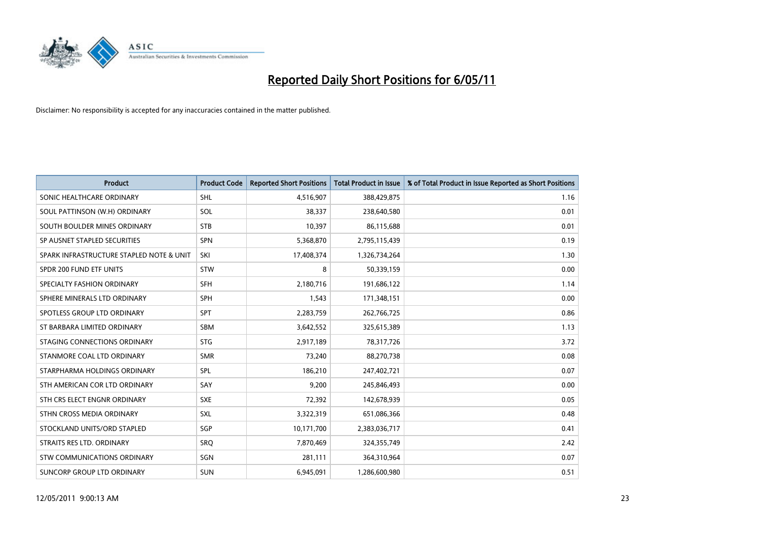

| <b>Product</b>                           | <b>Product Code</b> | <b>Reported Short Positions</b> | <b>Total Product in Issue</b> | % of Total Product in Issue Reported as Short Positions |
|------------------------------------------|---------------------|---------------------------------|-------------------------------|---------------------------------------------------------|
| SONIC HEALTHCARE ORDINARY                | <b>SHL</b>          | 4,516,907                       | 388,429,875                   | 1.16                                                    |
| SOUL PATTINSON (W.H) ORDINARY            | SOL                 | 38,337                          | 238,640,580                   | 0.01                                                    |
| SOUTH BOULDER MINES ORDINARY             | <b>STB</b>          | 10,397                          | 86,115,688                    | 0.01                                                    |
| SP AUSNET STAPLED SECURITIES             | <b>SPN</b>          | 5,368,870                       | 2,795,115,439                 | 0.19                                                    |
| SPARK INFRASTRUCTURE STAPLED NOTE & UNIT | SKI                 | 17,408,374                      | 1,326,734,264                 | 1.30                                                    |
| SPDR 200 FUND ETF UNITS                  | <b>STW</b>          | 8                               | 50,339,159                    | 0.00                                                    |
| SPECIALTY FASHION ORDINARY               | <b>SFH</b>          | 2,180,716                       | 191,686,122                   | 1.14                                                    |
| SPHERE MINERALS LTD ORDINARY             | <b>SPH</b>          | 1,543                           | 171,348,151                   | 0.00                                                    |
| SPOTLESS GROUP LTD ORDINARY              | <b>SPT</b>          | 2,283,759                       | 262,766,725                   | 0.86                                                    |
| ST BARBARA LIMITED ORDINARY              | SBM                 | 3,642,552                       | 325,615,389                   | 1.13                                                    |
| STAGING CONNECTIONS ORDINARY             | <b>STG</b>          | 2,917,189                       | 78,317,726                    | 3.72                                                    |
| STANMORE COAL LTD ORDINARY               | <b>SMR</b>          | 73,240                          | 88,270,738                    | 0.08                                                    |
| STARPHARMA HOLDINGS ORDINARY             | SPL                 | 186,210                         | 247,402,721                   | 0.07                                                    |
| STH AMERICAN COR LTD ORDINARY            | SAY                 | 9,200                           | 245,846,493                   | 0.00                                                    |
| STH CRS ELECT ENGNR ORDINARY             | <b>SXE</b>          | 72,392                          | 142,678,939                   | 0.05                                                    |
| STHN CROSS MEDIA ORDINARY                | SXL                 | 3,322,319                       | 651,086,366                   | 0.48                                                    |
| STOCKLAND UNITS/ORD STAPLED              | SGP                 | 10,171,700                      | 2,383,036,717                 | 0.41                                                    |
| STRAITS RES LTD. ORDINARY                | SRQ                 | 7,870,469                       | 324,355,749                   | 2.42                                                    |
| <b>STW COMMUNICATIONS ORDINARY</b>       | SGN                 | 281,111                         | 364,310,964                   | 0.07                                                    |
| SUNCORP GROUP LTD ORDINARY               | <b>SUN</b>          | 6,945,091                       | 1,286,600,980                 | 0.51                                                    |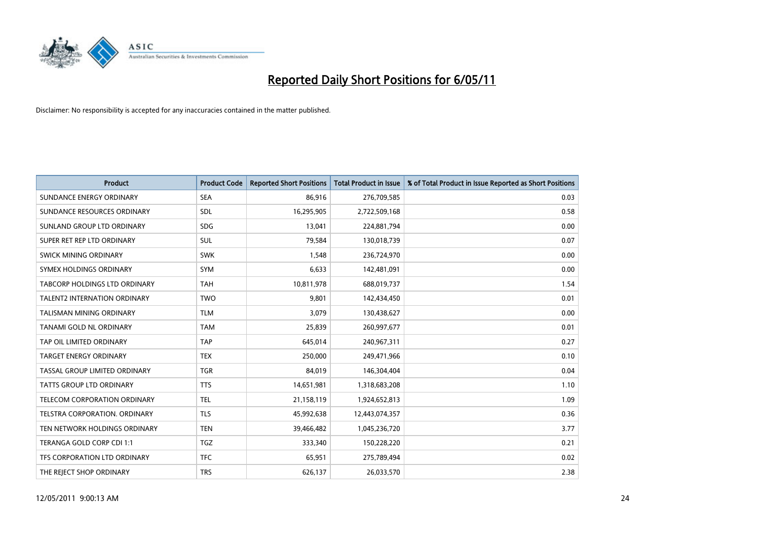

| <b>Product</b>                      | <b>Product Code</b> | <b>Reported Short Positions</b> | <b>Total Product in Issue</b> | % of Total Product in Issue Reported as Short Positions |
|-------------------------------------|---------------------|---------------------------------|-------------------------------|---------------------------------------------------------|
| SUNDANCE ENERGY ORDINARY            | <b>SEA</b>          | 86,916                          | 276,709,585                   | 0.03                                                    |
| SUNDANCE RESOURCES ORDINARY         | <b>SDL</b>          | 16,295,905                      | 2,722,509,168                 | 0.58                                                    |
| SUNLAND GROUP LTD ORDINARY          | <b>SDG</b>          | 13.041                          | 224,881,794                   | 0.00                                                    |
| SUPER RET REP LTD ORDINARY          | SUL                 | 79,584                          | 130,018,739                   | 0.07                                                    |
| <b>SWICK MINING ORDINARY</b>        | <b>SWK</b>          | 1,548                           | 236,724,970                   | 0.00                                                    |
| SYMEX HOLDINGS ORDINARY             | <b>SYM</b>          | 6,633                           | 142,481,091                   | 0.00                                                    |
| TABCORP HOLDINGS LTD ORDINARY       | <b>TAH</b>          | 10,811,978                      | 688,019,737                   | 1.54                                                    |
| <b>TALENT2 INTERNATION ORDINARY</b> | <b>TWO</b>          | 9,801                           | 142,434,450                   | 0.01                                                    |
| <b>TALISMAN MINING ORDINARY</b>     | <b>TLM</b>          | 3.079                           | 130,438,627                   | 0.00                                                    |
| TANAMI GOLD NL ORDINARY             | <b>TAM</b>          | 25,839                          | 260,997,677                   | 0.01                                                    |
| TAP OIL LIMITED ORDINARY            | <b>TAP</b>          | 645,014                         | 240,967,311                   | 0.27                                                    |
| <b>TARGET ENERGY ORDINARY</b>       | <b>TEX</b>          | 250,000                         | 249,471,966                   | 0.10                                                    |
| TASSAL GROUP LIMITED ORDINARY       | <b>TGR</b>          | 84,019                          | 146,304,404                   | 0.04                                                    |
| TATTS GROUP LTD ORDINARY            | <b>TTS</b>          | 14,651,981                      | 1,318,683,208                 | 1.10                                                    |
| TELECOM CORPORATION ORDINARY        | <b>TEL</b>          | 21,158,119                      | 1,924,652,813                 | 1.09                                                    |
| TELSTRA CORPORATION. ORDINARY       | <b>TLS</b>          | 45,992,638                      | 12,443,074,357                | 0.36                                                    |
| TEN NETWORK HOLDINGS ORDINARY       | <b>TEN</b>          | 39,466,482                      | 1,045,236,720                 | 3.77                                                    |
| TERANGA GOLD CORP CDI 1:1           | <b>TGZ</b>          | 333,340                         | 150,228,220                   | 0.21                                                    |
| TFS CORPORATION LTD ORDINARY        | <b>TFC</b>          | 65,951                          | 275,789,494                   | 0.02                                                    |
| THE REJECT SHOP ORDINARY            | <b>TRS</b>          | 626,137                         | 26,033,570                    | 2.38                                                    |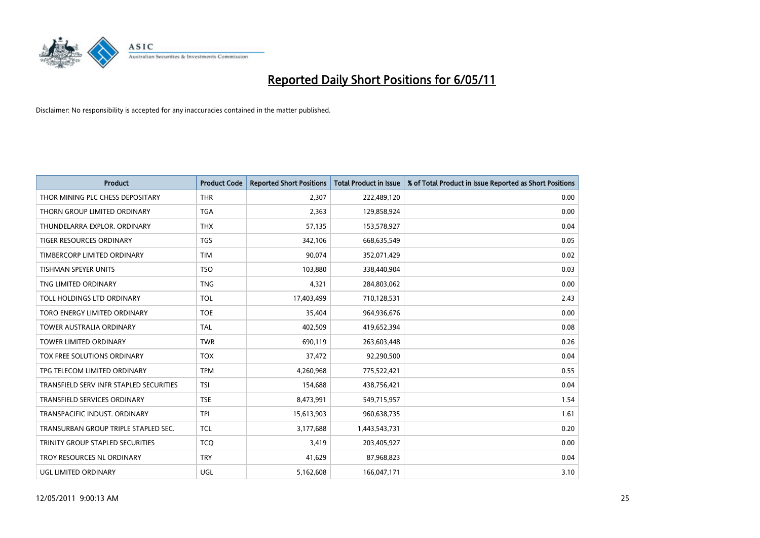

| <b>Product</b>                          | <b>Product Code</b> | <b>Reported Short Positions</b> | Total Product in Issue | % of Total Product in Issue Reported as Short Positions |
|-----------------------------------------|---------------------|---------------------------------|------------------------|---------------------------------------------------------|
| THOR MINING PLC CHESS DEPOSITARY        | <b>THR</b>          | 2,307                           | 222,489,120            | 0.00                                                    |
| THORN GROUP LIMITED ORDINARY            | <b>TGA</b>          | 2,363                           | 129,858,924            | 0.00                                                    |
| THUNDELARRA EXPLOR, ORDINARY            | <b>THX</b>          | 57,135                          | 153,578,927            | 0.04                                                    |
| <b>TIGER RESOURCES ORDINARY</b>         | <b>TGS</b>          | 342,106                         | 668,635,549            | 0.05                                                    |
| TIMBERCORP LIMITED ORDINARY             | <b>TIM</b>          | 90,074                          | 352,071,429            | 0.02                                                    |
| <b>TISHMAN SPEYER UNITS</b>             | <b>TSO</b>          | 103,880                         | 338,440,904            | 0.03                                                    |
| TNG LIMITED ORDINARY                    | <b>TNG</b>          | 4,321                           | 284,803,062            | 0.00                                                    |
| TOLL HOLDINGS LTD ORDINARY              | <b>TOL</b>          | 17,403,499                      | 710,128,531            | 2.43                                                    |
| TORO ENERGY LIMITED ORDINARY            | <b>TOE</b>          | 35,404                          | 964,936,676            | 0.00                                                    |
| <b>TOWER AUSTRALIA ORDINARY</b>         | <b>TAL</b>          | 402,509                         | 419,652,394            | 0.08                                                    |
| TOWER LIMITED ORDINARY                  | <b>TWR</b>          | 690,119                         | 263,603,448            | 0.26                                                    |
| TOX FREE SOLUTIONS ORDINARY             | <b>TOX</b>          | 37,472                          | 92,290,500             | 0.04                                                    |
| TPG TELECOM LIMITED ORDINARY            | <b>TPM</b>          | 4,260,968                       | 775,522,421            | 0.55                                                    |
| TRANSFIELD SERV INFR STAPLED SECURITIES | <b>TSI</b>          | 154,688                         | 438,756,421            | 0.04                                                    |
| <b>TRANSFIELD SERVICES ORDINARY</b>     | <b>TSE</b>          | 8,473,991                       | 549,715,957            | 1.54                                                    |
| TRANSPACIFIC INDUST, ORDINARY           | <b>TPI</b>          | 15,613,903                      | 960,638,735            | 1.61                                                    |
| TRANSURBAN GROUP TRIPLE STAPLED SEC.    | <b>TCL</b>          | 3,177,688                       | 1,443,543,731          | 0.20                                                    |
| TRINITY GROUP STAPLED SECURITIES        | <b>TCQ</b>          | 3,419                           | 203,405,927            | 0.00                                                    |
| TROY RESOURCES NL ORDINARY              | <b>TRY</b>          | 41,629                          | 87,968,823             | 0.04                                                    |
| UGL LIMITED ORDINARY                    | <b>UGL</b>          | 5,162,608                       | 166,047,171            | 3.10                                                    |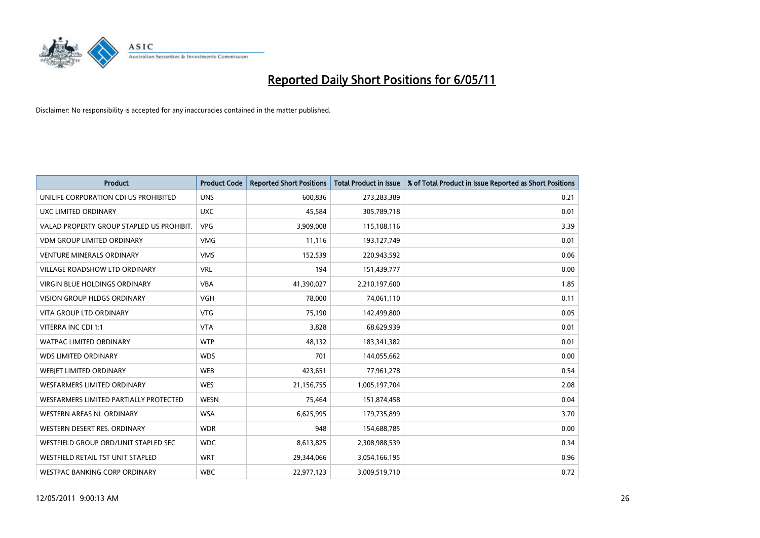

| <b>Product</b>                            | <b>Product Code</b> | <b>Reported Short Positions</b> | <b>Total Product in Issue</b> | % of Total Product in Issue Reported as Short Positions |
|-------------------------------------------|---------------------|---------------------------------|-------------------------------|---------------------------------------------------------|
| UNILIFE CORPORATION CDI US PROHIBITED     | <b>UNS</b>          | 600,836                         | 273,283,389                   | 0.21                                                    |
| UXC LIMITED ORDINARY                      | <b>UXC</b>          | 45,584                          | 305,789,718                   | 0.01                                                    |
| VALAD PROPERTY GROUP STAPLED US PROHIBIT. | <b>VPG</b>          | 3,909,008                       | 115,108,116                   | 3.39                                                    |
| <b>VDM GROUP LIMITED ORDINARY</b>         | <b>VMG</b>          | 11,116                          | 193,127,749                   | 0.01                                                    |
| <b>VENTURE MINERALS ORDINARY</b>          | <b>VMS</b>          | 152,539                         | 220,943,592                   | 0.06                                                    |
| <b>VILLAGE ROADSHOW LTD ORDINARY</b>      | <b>VRL</b>          | 194                             | 151,439,777                   | 0.00                                                    |
| <b>VIRGIN BLUE HOLDINGS ORDINARY</b>      | <b>VBA</b>          | 41,390,027                      | 2,210,197,600                 | 1.85                                                    |
| <b>VISION GROUP HLDGS ORDINARY</b>        | <b>VGH</b>          | 78,000                          | 74,061,110                    | 0.11                                                    |
| VITA GROUP LTD ORDINARY                   | <b>VTG</b>          | 75,190                          | 142,499,800                   | 0.05                                                    |
| VITERRA INC CDI 1:1                       | <b>VTA</b>          | 3,828                           | 68,629,939                    | 0.01                                                    |
| <b>WATPAC LIMITED ORDINARY</b>            | <b>WTP</b>          | 48,132                          | 183,341,382                   | 0.01                                                    |
| <b>WDS LIMITED ORDINARY</b>               | <b>WDS</b>          | 701                             | 144,055,662                   | 0.00                                                    |
| WEBJET LIMITED ORDINARY                   | <b>WEB</b>          | 423,651                         | 77,961,278                    | 0.54                                                    |
| <b>WESFARMERS LIMITED ORDINARY</b>        | <b>WES</b>          | 21,156,755                      | 1,005,197,704                 | 2.08                                                    |
| WESFARMERS LIMITED PARTIALLY PROTECTED    | <b>WESN</b>         | 75,464                          | 151,874,458                   | 0.04                                                    |
| WESTERN AREAS NL ORDINARY                 | <b>WSA</b>          | 6,625,995                       | 179,735,899                   | 3.70                                                    |
| WESTERN DESERT RES. ORDINARY              | <b>WDR</b>          | 948                             | 154,688,785                   | 0.00                                                    |
| WESTFIELD GROUP ORD/UNIT STAPLED SEC      | <b>WDC</b>          | 8,613,825                       | 2,308,988,539                 | 0.34                                                    |
| WESTFIELD RETAIL TST UNIT STAPLED         | <b>WRT</b>          | 29,344,066                      | 3,054,166,195                 | 0.96                                                    |
| WESTPAC BANKING CORP ORDINARY             | <b>WBC</b>          | 22,977,123                      | 3,009,519,710                 | 0.72                                                    |